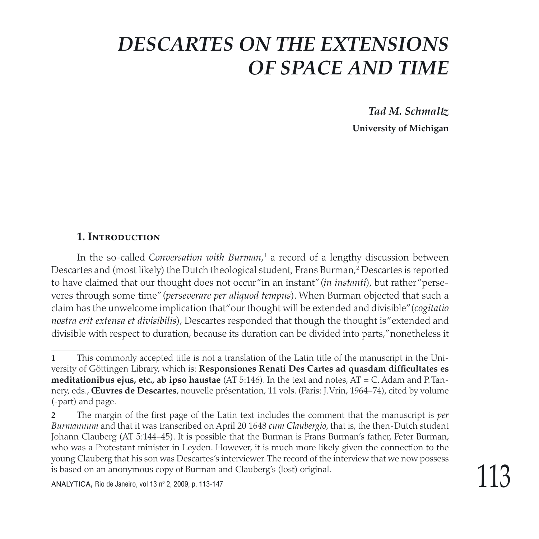*Tad M. Schmaltz* **University of Michigan**

#### **1. Introduction**

In the so-called *Conversation with Burman,*<sup>1</sup> a record of a lengthy discussion between Descartes and (most likely) the Dutch theological student, Frans Burman, Descartes is reported to have claimed that our thought does not occur "in an instant" (*in instanti*), but rather "perseveres through some time" (*perseverare per aliquod tempus*). When Burman objected that such a claim has the unwelcome implication that "our thought will be extended and divisible" (*cogitatio nostra erit extensa et divisibilis*), Descartes responded that though the thought is "extended and divisible with respect to duration, because its duration can be divided into parts," nonetheless it

This commonly accepted title is not a translation of the Latin title of the manuscript in the University of Göttingen Library, which is: **Responsiones Renati Des Cartes ad quasdam difficultates es meditationibus ejus, etc., ab ipso haustae** (AT 5:146). In the text and notes, AT = C. Adam and P. Tannery, eds., **Œuvres de Descartes**, nouvelle présentation, 11 vols. (Paris: J. Vrin, 1964–74), cited by volume (-part) and page.

The margin of the first page of the Latin text includes the comment that the manuscript is *per Burmannum* and that it was transcribed on April 20 1648 *cum Claubergio*, that is, the then-Dutch student Johann Clauberg (AT 5:144–45). It is possible that the Burman is Frans Burman's father, Peter Burman, who was a Protestant minister in Leyden. However, it is much more likely given the connection to the young Clauberg that his son was Descartes's interviewer. The record of the interview that we now possess is based on an anonymous copy of Burman and Clauberg's (lost) original.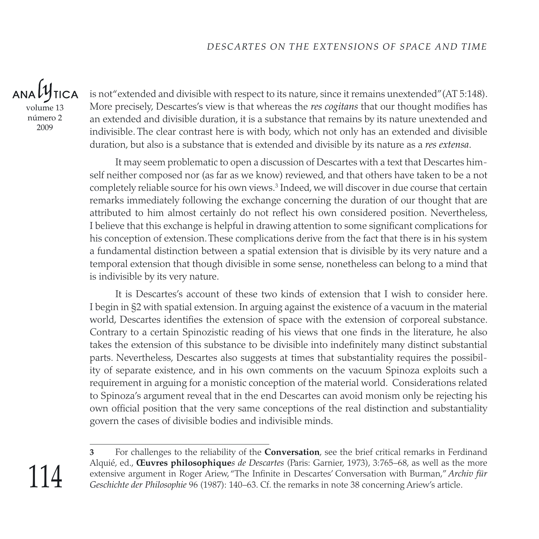$ANA}$ **TICA** volume 13 número 2 2009

is not "extended and divisible with respect to its nature, since it remains unextended" (AT 5:148). More precisely, Descartes's view is that whereas the *res cogitans* that our thought modifies has an extended and divisible duration, it is a substance that remains by its nature unextended and indivisible. The clear contrast here is with body, which not only has an extended and divisible duration, but also is a substance that is extended and divisible by its nature as a *res extensa*.

It may seem problematic to open a discussion of Descartes with a text that Descartes himself neither composed nor (as far as we know) reviewed, and that others have taken to be a not completely reliable source for his own views. $^3$  Indeed, we will discover in due course that certain remarks immediately following the exchange concerning the duration of our thought that are attributed to him almost certainly do not reflect his own considered position. Nevertheless, I believe that this exchange is helpful in drawing attention to some significant complications for his conception of extension. These complications derive from the fact that there is in his system a fundamental distinction between a spatial extension that is divisible by its very nature and a temporal extension that though divisible in some sense, nonetheless can belong to a mind that is indivisible by its very nature.

It is Descartes's account of these two kinds of extension that I wish to consider here. I begin in §2 with spatial extension. In arguing against the existence of a vacuum in the material world, Descartes identifies the extension of space with the extension of corporeal substance. Contrary to a certain Spinozistic reading of his views that one finds in the literature, he also takes the extension of this substance to be divisible into indefinitely many distinct substantial parts. Nevertheless, Descartes also suggests at times that substantiality requires the possibility of separate existence, and in his own comments on the vacuum Spinoza exploits such a requirement in arguing for a monistic conception of the material world. Considerations related to Spinoza's argument reveal that in the end Descartes can avoid monism only be rejecting his own official position that the very same conceptions of the real distinction and substantiality govern the cases of divisible bodies and indivisible minds.

 For challenges to the reliability of the **Conversation**, see the brief critical remarks in Ferdinand Alquié, ed., **Œuvres philosophique***s de Descartes* (Paris: Garnier, 1973), 3:765–68, as well as the more extensive argument in Roger Ariew, "The Infinite in Descartes' Conversation with Burman," *Archiv für Geschichte der Philosophie* 96 (1987): 140–63. Cf. the remarks in note 38 concerning Ariew's article.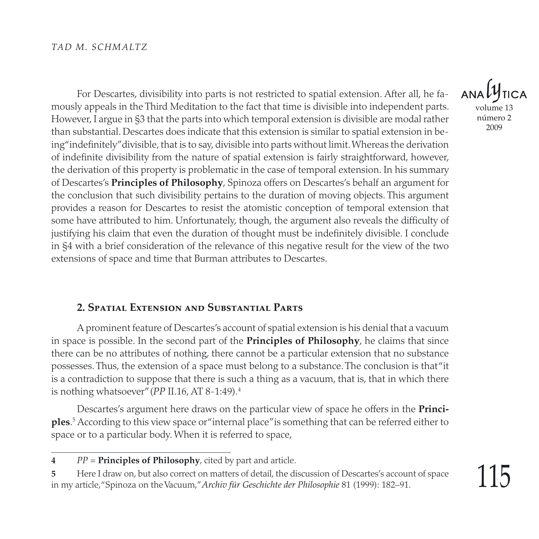For Descartes, divisibility into parts is not restricted to spatial extension. After all, he famously appeals in the Third Meditation to the fact that time is divisible into independent parts. However, I argue in §3 that the parts into which temporal extension is divisible are modal rather than substantial. Descartes does indicate that this extension is similar to spatial extension in being "indefinitely" divisible, that is to say, divisible into parts without limit. Whereas the derivation of indefinite divisibility from the nature of spatial extension is fairly straightforward, however, the derivation of this property is problematic in the case of temporal extension. In his summary of Descartes's **Principles of Philosophy**, Spinoza offers on Descartes's behalf an argument for the conclusion that such divisibility pertains to the duration of moving objects. This argument provides a reason for Descartes to resist the atomistic conception of temporal extension that some have attributed to him. Unfortunately, though, the argument also reveals the difficulty of justifying his claim that even the duration of thought must be indefinitely divisible. I conclude in §4 with a brief consideration of the relevance of this negative result for the view of the two extensions of space and time that Burman attributes to Descartes.

#### **2. Spatial Extension and Substantial Parts**

A prominent feature of Descartes's account of spatial extension is his denial that a vacuum in space is possible. In the second part of the **Principles of Philosophy**, he claims that since there can be no attributes of nothing, there cannot be a particular extension that no substance possesses. Thus, the extension of a space must belong to a substance. The conclusion is that "it is a contradiction to suppose that there is such a thing as a vacuum, that is, that in which there is nothing whatsoever" (*PP* II.16, AT 8-1:49).

Descartes's argument here draws on the particular view of space he offers in the **Principles**.<sup>5</sup> According to this view space or "internal place" is something that can be referred either to space or to a particular body. When it is referred to space,

volume 13 número 2

*PP* = **Principles of Philosophy**, cited by part and article.

Here I draw on, but also correct on matters of detail, the discussion of Descartes's account of space in my article, "Spinoza on the Vacuum," *Archiv für Geschichte der Philosophie* 81 (1999): 182–91.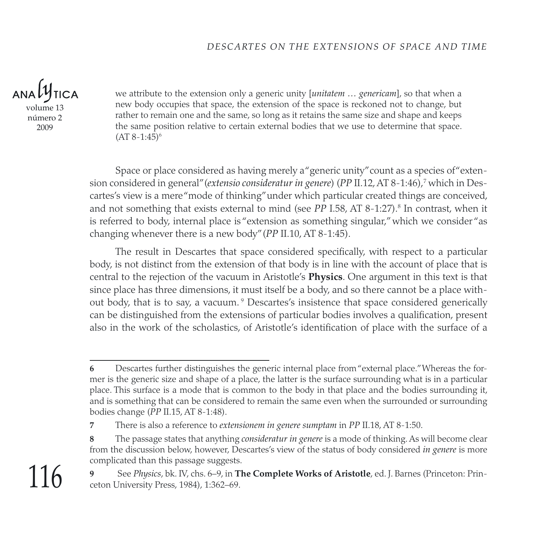volume 13 número 2

2009

we attribute to the extension only a generic unity [*unitatem … genericam*], so that when a new body occupies that space, the extension of the space is reckoned not to change, but rather to remain one and the same, so long as it retains the same size and shape and keeps the same position relative to certain external bodies that we use to determine that space.  $(AT 8-1:45)^6$ 

Space or place considered as having merely a "generic unity" count as a species of "extension considered in general" (*extensio consideratur in genere*) (*PP II.12, AT 8-1:46*),<sup>7</sup> which in Descartes's view is a mere "mode of thinking" under which particular created things are conceived, and not something that exists external to mind (see *PP* I.58, AT 8-1:27).<sup>8</sup> In contrast, when it is referred to body, internal place is "extension as something singular," which we consider "as changing whenever there is a new body" (*PP* II.10, AT 8-1:45).

The result in Descartes that space considered specifically, with respect to a particular body, is not distinct from the extension of that body is in line with the account of place that is central to the rejection of the vacuum in Aristotle's **Physics**. One argument in this text is that since place has three dimensions, it must itself be a body, and so there cannot be a place without body, that is to say, a vacuum.<sup>9</sup> Descartes's insistence that space considered generically can be distinguished from the extensions of particular bodies involves a qualification, present also in the work of the scholastics, of Aristotle's identification of place with the surface of a

Descartes further distinguishes the generic internal place from "external place." Whereas the former is the generic size and shape of a place, the latter is the surface surrounding what is in a particular place. This surface is a mode that is common to the body in that place and the bodies surrounding it, and is something that can be considered to remain the same even when the surrounded or surrounding bodies change (*PP* II.15, AT 8-1:48).

There is also a reference to *extensionem in genere sumptam* in *PP* II.18, AT 8-1:50.

The passage states that anything *consideratur in genere* is a mode of thinking. As will become clear from the discussion below, however, Descartes's view of the status of body considered *in genere* is more complicated than this passage suggests.

See *Physics*, bk. IV, chs. 6–9, in **The Complete Works of Aristotle**, ed. J. Barnes (Princeton: Princeton University Press, 1984), 1:362–69.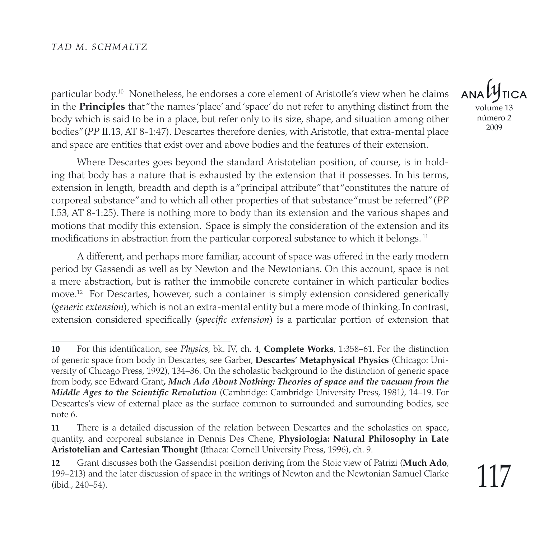particular body.<sup>10</sup> Nonetheless, he endorses a core element of Aristotle's view when he claims in the **Principles** that "the names 'place' and 'space' do not refer to anything distinct from the body which is said to be in a place, but refer only to its size, shape, and situation among other bodies" (*PP* II.13, AT 8-1:47). Descartes therefore denies, with Aristotle, that extra-mental place and space are entities that exist over and above bodies and the features of their extension.

Where Descartes goes beyond the standard Aristotelian position, of course, is in holding that body has a nature that is exhausted by the extension that it possesses. In his terms, extension in length, breadth and depth is a "principal attribute" that "constitutes the nature of corporeal substance" and to which all other properties of that substance "must be referred" (*PP* I.53, AT 8-1:25). There is nothing more to body than its extension and the various shapes and motions that modify this extension. Space is simply the consideration of the extension and its modifications in abstraction from the particular corporeal substance to which it belongs. <sup>11</sup>

A different, and perhaps more familiar, account of space was offered in the early modern period by Gassendi as well as by Newton and the Newtonians. On this account, space is not a mere abstraction, but is rather the immobile concrete container in which particular bodies move.12 For Descartes, however, such a container is simply extension considered generically (*generic extension*), which is not an extra-mental entity but a mere mode of thinking. In contrast, extension considered specifically (*specific extension*) is a particular portion of extension that

**ANA** volume 13 número 2 2009

**<sup>10</sup>** For this identification, see *Physics*, bk. IV, ch. 4, **Complete Works**, 1:358–61. For the distinction of generic space from body in Descartes, see Garber, **Descartes' Metaphysical Physics** (Chicago: University of Chicago Press, 1992), 134–36. On the scholastic background to the distinction of generic space from body, see Edward Grant*, Much Ado About Nothing: Theories of space and the vacuum from the Middle Ages to the Scientific Revolution* (Cambridge: Cambridge University Press, 1981*)*, 14–19. For Descartes's view of external place as the surface common to surrounded and surrounding bodies, see note 6.

**<sup>11</sup>** There is a detailed discussion of the relation between Descartes and the scholastics on space, quantity, and corporeal substance in Dennis Des Chene, **Physiologia: Natural Philosophy in Late Aristotelian and Cartesian Thought** (Ithaca: Cornell University Press, 1996), ch. 9.

**<sup>12</sup>** Grant discusses both the Gassendist position deriving from the Stoic view of Patrizi (**Much Ado**, 199–213) and the later discussion of space in the writings of Newton and the Newtonian Samuel Clarke (ibid., 240–54).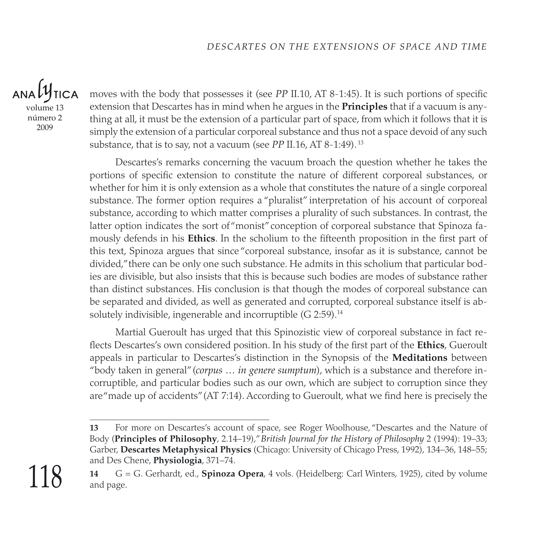volume 13 número 2 2009

moves with the body that possesses it (see *PP* II.10, AT 8-1:45). It is such portions of specific extension that Descartes has in mind when he argues in the **Principles** that if a vacuum is anything at all, it must be the extension of a particular part of space, from which it follows that it is simply the extension of a particular corporeal substance and thus not a space devoid of any such substance, that is to say, not a vacuum (see *PP* II.16, AT 8-1:49). <sup>13</sup>

Descartes's remarks concerning the vacuum broach the question whether he takes the portions of specific extension to constitute the nature of different corporeal substances, or whether for him it is only extension as a whole that constitutes the nature of a single corporeal substance. The former option requires a "pluralist" interpretation of his account of corporeal substance, according to which matter comprises a plurality of such substances. In contrast, the latter option indicates the sort of "monist" conception of corporeal substance that Spinoza famously defends in his **Ethics**. In the scholium to the fifteenth proposition in the first part of this text, Spinoza argues that since "corporeal substance, insofar as it is substance, cannot be divided," there can be only one such substance. He admits in this scholium that particular bodies are divisible, but also insists that this is because such bodies are modes of substance rather than distinct substances. His conclusion is that though the modes of corporeal substance can be separated and divided, as well as generated and corrupted, corporeal substance itself is absolutely indivisible, ingenerable and incorruptible  $(G 2:59).<sup>14</sup>$ 

Martial Gueroult has urged that this Spinozistic view of corporeal substance in fact reflects Descartes's own considered position. In his study of the first part of the **Ethics**, Gueroult appeals in particular to Descartes's distinction in the Synopsis of the **Meditations** between "body taken in general" (*corpus … in genere sumptum*), which is a substance and therefore incorruptible, and particular bodies such as our own, which are subject to corruption since they are "made up of accidents" (AT 7:14). According to Gueroult, what we find here is precisely the

**<sup>13</sup>** For more on Descartes's account of space, see Roger Woolhouse, "Descartes and the Nature of Body (**Principles of Philosophy**, 2.14–19)," *British Journal for the History of Philosophy* 2 (1994): 19–33; Garber, **Descartes Metaphysical Physics** (Chicago: University of Chicago Press, 1992), 134–36, 148–55; and Des Chene, **Physiologia**, 371–74.

**<sup>14</sup>** G = G. Gerhardt, ed., **Spinoza Opera**, 4 vols. (Heidelberg: Carl Winters, 1925), cited by volume and page.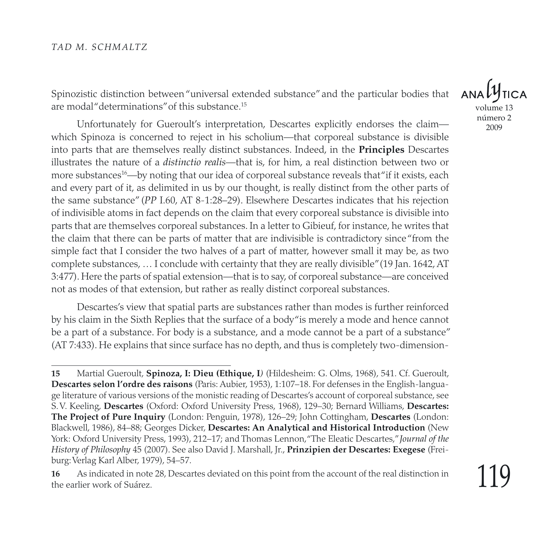Spinozistic distinction between "universal extended substance" and the particular bodies that are modal "determinations" of this substance.<sup>15</sup>

Unfortunately for Gueroult's interpretation, Descartes explicitly endorses the claim which Spinoza is concerned to reject in his scholium—that corporeal substance is divisible into parts that are themselves really distinct substances. Indeed, in the **Principles** Descartes illustrates the nature of a *distinctio realis*—that is, for him, a real distinction between two or more substances<sup>16</sup>—by noting that our idea of corporeal substance reveals that"if it exists*,* each and every part of it, as delimited in us by our thought, is really distinct from the other parts of the same substance" (*PP* I.60, AT 8-1:28–29). Elsewhere Descartes indicates that his rejection of indivisible atoms in fact depends on the claim that every corporeal substance is divisible into parts that are themselves corporeal substances. In a letter to Gibieuf, for instance, he writes that the claim that there can be parts of matter that are indivisible is contradictory since "from the simple fact that I consider the two halves of a part of matter, however small it may be, as two complete substances, … I conclude with certainty that they are really divisible" (19 Jan. 1642, AT 3:477). Here the parts of spatial extension—that is to say, of corporeal substance—are conceived not as modes of that extension, but rather as really distinct corporeal substances.

Descartes's view that spatial parts are substances rather than modes is further reinforced by his claim in the Sixth Replies that the surface of a body "is merely a mode and hence cannot be a part of a substance. For body is a substance, and a mode cannot be a part of a substance" (AT 7:433). He explains that since surface has no depth, and thus is completely two-dimension-

 $ANDU$ volume 13 número 2 2009

**<sup>15</sup>** Martial Gueroult, **Spinoza, I: Dieu (Ethique, I***)* (Hildesheim: G. Olms, 1968), 541. Cf. Gueroult, **Descartes selon l'ordre des raisons** (Paris: Aubier, 1953), 1:107–18. For defenses in the English-language literature of various versions of the monistic reading of Descartes's account of corporeal substance, see S. V. Keeling, **Descartes** (Oxford: Oxford University Press, 1968), 129–30; Bernard Williams, **Descartes: The Project of Pure Inquiry** (London: Penguin, 1978), 126–29; John Cottingham, **Descartes** (London: Blackwell, 1986), 84–88; Georges Dicker, **Descartes: An Analytical and Historical Introduction** (New York: Oxford University Press, 1993), 212–17; and Thomas Lennon, "The Eleatic Descartes," *Journal of the History of Philosophy* 45 (2007). See also David J. Marshall, Jr., **Prinzipien der Descartes: Exegese** (Freiburg: Verlag Karl Alber, 1979), 54–57.

**<sup>16</sup>** As indicated in note 28, Descartes deviated on this point from the account of the real distinction in the earlier work of Suárez.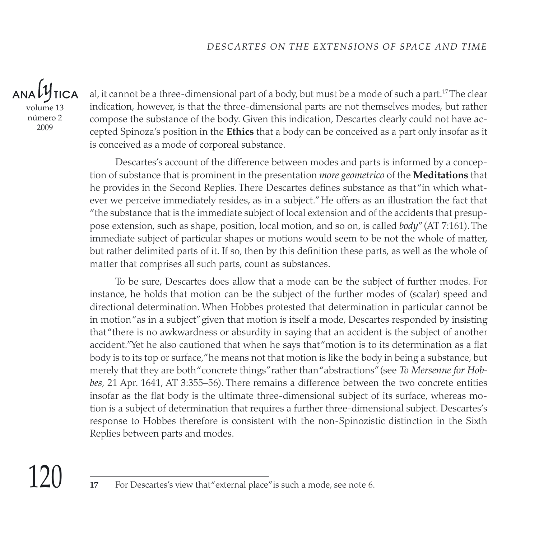$ANDU$ TICA volume 13 número 2 2009

al, it cannot be a three-dimensional part of a body, but must be a mode of such a part.<sup>17</sup> The clear indication, however, is that the three-dimensional parts are not themselves modes, but rather compose the substance of the body. Given this indication, Descartes clearly could not have accepted Spinoza's position in the **Ethics** that a body can be conceived as a part only insofar as it is conceived as a mode of corporeal substance.

Descartes's account of the difference between modes and parts is informed by a conception of substance that is prominent in the presentation *more geometrico* of the **Meditations** that he provides in the Second Replies. There Descartes defines substance as that "in which whatever we perceive immediately resides, as in a subject." He offers as an illustration the fact that "the substance that is the immediate subject of local extension and of the accidents that presuppose extension, such as shape, position, local motion, and so on, is called *body*" (AT 7:161). The immediate subject of particular shapes or motions would seem to be not the whole of matter, but rather delimited parts of it. If so, then by this definition these parts, as well as the whole of matter that comprises all such parts, count as substances.

To be sure, Descartes does allow that a mode can be the subject of further modes. For instance, he holds that motion can be the subject of the further modes of (scalar) speed and directional determination. When Hobbes protested that determination in particular cannot be in motion "as in a subject" given that motion is itself a mode, Descartes responded by insisting that "there is no awkwardness or absurdity in saying that an accident is the subject of another accident." Yet he also cautioned that when he says that "motion is to its determination as a flat body is to its top or surface," he means not that motion is like the body in being a substance, but merely that they are both "concrete things" rather than "abstractions" (see *To Mersenne for Hobbes*, 21 Apr. 1641, AT 3:355–56). There remains a difference between the two concrete entities insofar as the flat body is the ultimate three-dimensional subject of its surface, whereas motion is a subject of determination that requires a further three-dimensional subject. Descartes's response to Hobbes therefore is consistent with the non-Spinozistic distinction in the Sixth Replies between parts and modes.

**<sup>17</sup>** For Descartes's view that "external place" is such a mode, see note 6.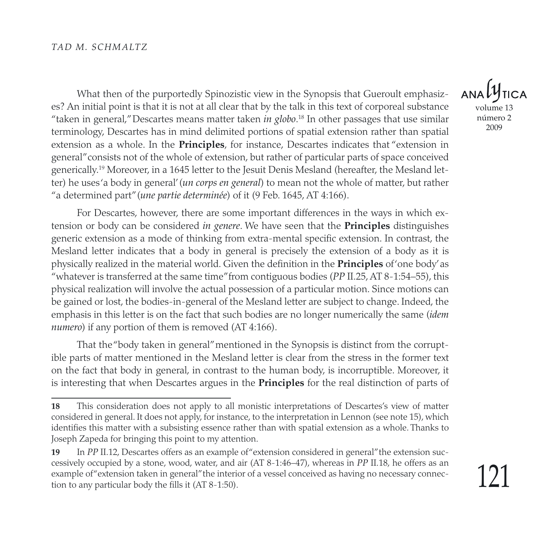What then of the purportedly Spinozistic view in the Synopsis that Gueroult emphasizes? An initial point is that it is not at all clear that by the talk in this text of corporeal substance "taken in general," Descartes means matter taken *in globo*. 18 In other passages that use similar terminology, Descartes has in mind delimited portions of spatial extension rather than spatial extension as a whole. In the **Principles**, for instance, Descartes indicates that "extension in general" consists not of the whole of extension, but rather of particular parts of space conceived generically.19 Moreover, in a 1645 letter to the Jesuit Denis Mesland (hereafter, the Mesland letter) he uses 'a body in general' (*un corps en general*) to mean not the whole of matter, but rather "a determined part" (*une partie determinée*) of it (9 Feb. 1645, AT 4:166).

For Descartes, however, there are some important differences in the ways in which extension or body can be considered *in genere*. We have seen that the **Principles** distinguishes generic extension as a mode of thinking from extra-mental specific extension. In contrast, the Mesland letter indicates that a body in general is precisely the extension of a body as it is physically realized in the material world. Given the definition in the **Principles** of 'one body' as "whatever is transferred at the same time" from contiguous bodies (*PP* II.25, AT 8-1:54–55), this physical realization will involve the actual possession of a particular motion. Since motions can be gained or lost, the bodies-in-general of the Mesland letter are subject to change. Indeed, the emphasis in this letter is on the fact that such bodies are no longer numerically the same (*idem numero*) if any portion of them is removed (AT 4:166).

That the "body taken in general" mentioned in the Synopsis is distinct from the corruptible parts of matter mentioned in the Mesland letter is clear from the stress in the former text on the fact that body in general, in contrast to the human body, is incorruptible. Moreover, it is interesting that when Descartes argues in the **Principles** for the real distinction of parts of

volume 13 número 2

**<sup>18</sup>** This consideration does not apply to all monistic interpretations of Descartes's view of matter considered in general. It does not apply, for instance, to the interpretation in Lennon (see note 15), which identifies this matter with a subsisting essence rather than with spatial extension as a whole. Thanks to Joseph Zapeda for bringing this point to my attention.

**<sup>19</sup>** In *PP* II.12, Descartes offers as an example of "extension considered in general" the extension successively occupied by a stone, wood, water, and air (AT 8-1:46–47), whereas in *PP* II.18, he offers as an example of "extension taken in general" the interior of a vessel conceived as having no necessary connection to any particular body the fills it (AT 8-1:50).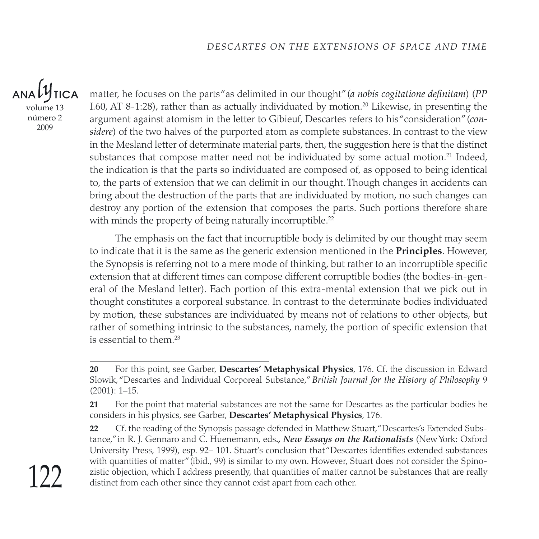volume 13 número 2 2009

matter, he focuses on the parts "as delimited in our thought" (*a nobis cogitatione definitam*) (*PP* I.60, AT 8-1:28), rather than as actually individuated by motion.<sup>20</sup> Likewise, in presenting the argument against atomism in the letter to Gibieuf, Descartes refers to his "consideration" (*considere*) of the two halves of the purported atom as complete substances. In contrast to the view in the Mesland letter of determinate material parts, then, the suggestion here is that the distinct substances that compose matter need not be individuated by some actual motion.<sup>21</sup> Indeed, the indication is that the parts so individuated are composed of, as opposed to being identical to, the parts of extension that we can delimit in our thought. Though changes in accidents can bring about the destruction of the parts that are individuated by motion, no such changes can destroy any portion of the extension that composes the parts. Such portions therefore share with minds the property of being naturally incorruptible.<sup>22</sup>

The emphasis on the fact that incorruptible body is delimited by our thought may seem to indicate that it is the same as the generic extension mentioned in the **Principles**. However, the Synopsis is referring not to a mere mode of thinking, but rather to an incorruptible specific extension that at different times can compose different corruptible bodies (the bodies-in-general of the Mesland letter). Each portion of this extra-mental extension that we pick out in thought constitutes a corporeal substance. In contrast to the determinate bodies individuated by motion, these substances are individuated by means not of relations to other objects, but rather of something intrinsic to the substances, namely, the portion of specific extension that is essential to them  $23$ 

**<sup>20</sup>** For this point, see Garber, **Descartes' Metaphysical Physics**, 176. Cf. the discussion in Edward Slowik, "Descartes and Individual Corporeal Substance," *British Journal for the History of Philosophy* 9 (2001): 1–15.

**<sup>21</sup>** For the point that material substances are not the same for Descartes as the particular bodies he considers in his physics, see Garber, **Descartes' Metaphysical Physics**, 176.

**<sup>22</sup>** Cf. the reading of the Synopsis passage defended in Matthew Stuart, "Descartes's Extended Substance," in R. J. Gennaro and C. Huenemann, eds*., New Essays on the Rationalists* (New York: Oxford University Press, 1999), esp. 92– 101. Stuart's conclusion that "Descartes identifies extended substances with quantities of matter" (ibid., 99) is similar to my own. However, Stuart does not consider the Spinozistic objection, which I address presently, that quantities of matter cannot be substances that are really distinct from each other since they cannot exist apart from each other.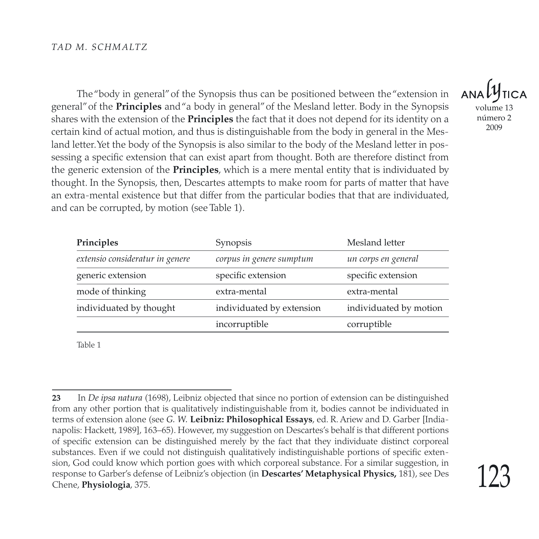The "body in general" of the Synopsis thus can be positioned between the "extension in general" of the **Principles** and "a body in general" of the Mesland letter. Body in the Synopsis shares with the extension of the **Principles** the fact that it does not depend for its identity on a certain kind of actual motion, and thus is distinguishable from the body in general in the Mesland letter. Yet the body of the Synopsis is also similar to the body of the Mesland letter in possessing a specific extension that can exist apart from thought. Both are therefore distinct from the generic extension of the **Principles**, which is a mere mental entity that is individuated by thought. In the Synopsis, then, Descartes attempts to make room for parts of matter that have an extra-mental existence but that differ from the particular bodies that that are individuated, and can be corrupted, by motion (see Table 1).

| Principles                      | Synopsis                  | Mesland letter         |
|---------------------------------|---------------------------|------------------------|
| extensio consideratur in genere | corpus in genere sumptum  | un corps en general    |
| generic extension               | specific extension        | specific extension     |
| mode of thinking                | extra-mental              | extra-mental           |
| individuated by thought         | individuated by extension | individuated by motion |
|                                 | incorruptible             | corruptible            |

Table 1

volume 13 número 2

**<sup>23</sup>** In *De ipsa natura* (1698), Leibniz objected that since no portion of extension can be distinguished from any other portion that is qualitatively indistinguishable from it, bodies cannot be individuated in terms of extension alone (see *G. W.* **Leibniz: Philosophical Essays**, ed. R. Ariew and D. Garber [Indianapolis: Hackett, 1989], 163–65). However, my suggestion on Descartes's behalf is that different portions of specific extension can be distinguished merely by the fact that they individuate distinct corporeal substances. Even if we could not distinguish qualitatively indistinguishable portions of specific extension, God could know which portion goes with which corporeal substance. For a similar suggestion, in response to Garber's defense of Leibniz's objection (in **Descartes' Metaphysical Physics,** 181), see Des Chene, **Physiologia**, 375.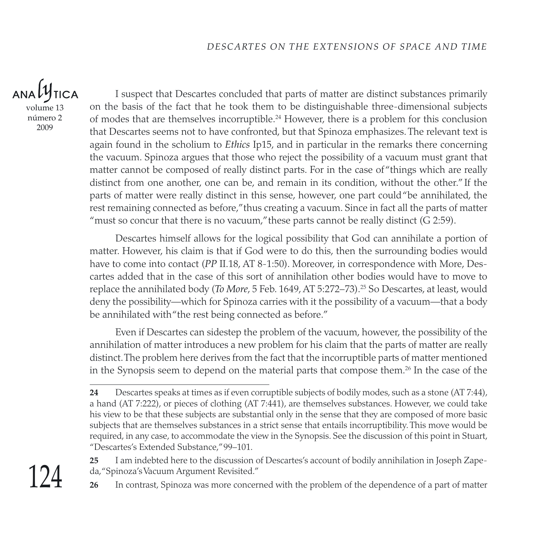$ANAL$ **TICA** volume 13

número 2 2009

I suspect that Descartes concluded that parts of matter are distinct substances primarily on the basis of the fact that he took them to be distinguishable three-dimensional subjects of modes that are themselves incorruptible.<sup>24</sup> However, there is a problem for this conclusion that Descartes seems not to have confronted, but that Spinoza emphasizes. The relevant text is again found in the scholium to *Ethics* Ip15, and in particular in the remarks there concerning the vacuum. Spinoza argues that those who reject the possibility of a vacuum must grant that matter cannot be composed of really distinct parts. For in the case of "things which are really distinct from one another, one can be, and remain in its condition, without the other." If the parts of matter were really distinct in this sense, however, one part could "be annihilated, the rest remaining connected as before," thus creating a vacuum. Since in fact all the parts of matter "must so concur that there is no vacuum," these parts cannot be really distinct  $(G 2:59)$ .

Descartes himself allows for the logical possibility that God can annihilate a portion of matter. However, his claim is that if God were to do this, then the surrounding bodies would have to come into contact (*PP* II.18, AT 8-1:50). Moreover, in correspondence with More, Descartes added that in the case of this sort of annihilation other bodies would have to move to replace the annihilated body (*To More*, 5 Feb. 1649, AT 5:272–73).25 So Descartes, at least, would deny the possibility—which for Spinoza carries with it the possibility of a vacuum—that a body be annihilated with "the rest being connected as before."

Even if Descartes can sidestep the problem of the vacuum, however, the possibility of the annihilation of matter introduces a new problem for his claim that the parts of matter are really distinct. The problem here derives from the fact that the incorruptible parts of matter mentioned in the Synopsis seem to depend on the material parts that compose them. $26$  In the case of the

**25** I am indebted here to the discussion of Descartes's account of bodily annihilation in Joseph Zapeda, "Spinoza's Vacuum Argument Revisited."

**<sup>24</sup>** Descartes speaks at times as if even corruptible subjects of bodily modes, such as a stone (AT 7:44), a hand (AT 7:222), or pieces of clothing (AT 7:441), are themselves substances. However, we could take his view to be that these subjects are substantial only in the sense that they are composed of more basic subjects that are themselves substances in a strict sense that entails incorruptibility. This move would be required, in any case, to accommodate the view in the Synopsis. See the discussion of this point in Stuart, "Descartes's Extended Substance," 99–101.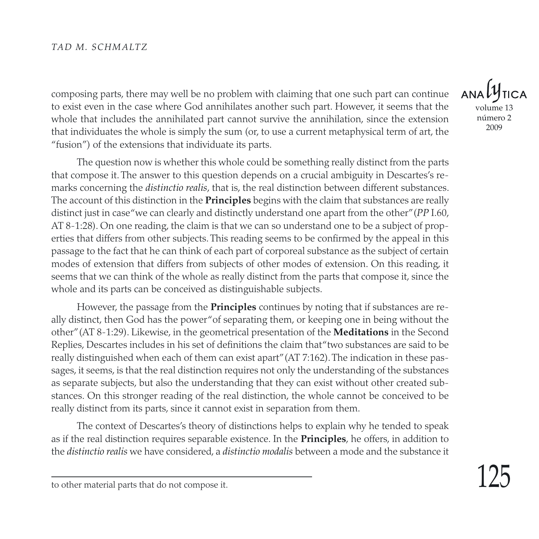composing parts, there may well be no problem with claiming that one such part can continue to exist even in the case where God annihilates another such part. However, it seems that the whole that includes the annihilated part cannot survive the annihilation, since the extension that individuates the whole is simply the sum (or, to use a current metaphysical term of art, the "fusion") of the extensions that individuate its parts.

The question now is whether this whole could be something really distinct from the parts that compose it. The answer to this question depends on a crucial ambiguity in Descartes's remarks concerning the *distinctio realis*, that is, the real distinction between different substances. The account of this distinction in the **Principles** begins with the claim that substances are really distinct just in case "we can clearly and distinctly understand one apart from the other" (*PP* I.60, AT 8-1:28). On one reading, the claim is that we can so understand one to be a subject of properties that differs from other subjects. This reading seems to be confirmed by the appeal in this passage to the fact that he can think of each part of corporeal substance as the subject of certain modes of extension that differs from subjects of other modes of extension. On this reading, it seems that we can think of the whole as really distinct from the parts that compose it, since the whole and its parts can be conceived as distinguishable subjects.

However, the passage from the **Principles** continues by noting that if substances are really distinct, then God has the power "of separating them, or keeping one in being without the other" (AT 8-1:29). Likewise, in the geometrical presentation of the **Meditations** in the Second Replies, Descartes includes in his set of definitions the claim that "two substances are said to be really distinguished when each of them can exist apart" (AT 7:162). The indication in these passages, it seems, is that the real distinction requires not only the understanding of the substances as separate subjects, but also the understanding that they can exist without other created substances. On this stronger reading of the real distinction, the whole cannot be conceived to be really distinct from its parts, since it cannot exist in separation from them.

The context of Descartes's theory of distinctions helps to explain why he tended to speak as if the real distinction requires separable existence. In the **Principles**, he offers, in addition to the *distinctio realis* we have considered, a *distinctio modalis* between a mode and the substance it

 $ANDLI$ volume 13 número 2 2009

to other material parts that do not compose it.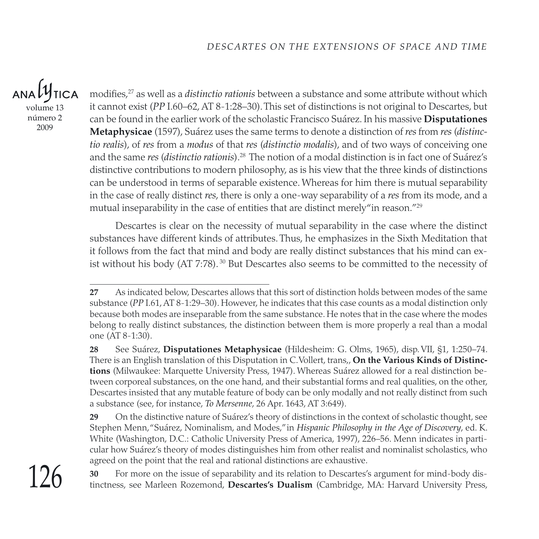ANALY **TICA** volume 13 número 2 2009

modifies,27 as well as a *distinctio rationis* between a substance and some attribute without which it cannot exist (*PP* I.60–62, AT 8-1:28–30). This set of distinctions is not original to Descartes, but can be found in the earlier work of the scholastic Francisco Suárez. In his massive **Disputationes Metaphysicae** (1597), Suárez uses the same terms to denote a distinction of *res* from *res* (*distinctio realis*), of *res* from a *modus* of that *res* (*distinctio modalis*), and of two ways of conceiving one and the same *res* (*distinctio rationis*).28 The notion of a modal distinction is in fact one of Suárez's distinctive contributions to modern philosophy, as is his view that the three kinds of distinctions can be understood in terms of separable existence. Whereas for him there is mutual separability in the case of really distinct *res*, there is only a one-way separability of a *res* from its mode, and a mutual inseparability in the case of entities that are distinct merely" in reason."<sup>29</sup>

Descartes is clear on the necessity of mutual separability in the case where the distinct substances have different kinds of attributes. Thus, he emphasizes in the Sixth Meditation that it follows from the fact that mind and body are really distinct substances that his mind can exist without his body (AT 7:78).<sup>30</sup> But Descartes also seems to be committed to the necessity of

**28** See Suárez, **Disputationes Metaphysicae** (Hildesheim: G. Olms, 1965), disp. VII, §1, 1:250–74. There is an English translation of this Disputation in C. Vollert, trans,, **On the Various Kinds of Distinctions** (Milwaukee: Marquette University Press, 1947). Whereas Suárez allowed for a real distinction between corporeal substances, on the one hand, and their substantial forms and real qualities, on the other, Descartes insisted that any mutable feature of body can be only modally and not really distinct from such a substance (see, for instance, *To Mersenne*, 26 Apr. 1643, AT 3:649).

**29** On the distinctive nature of Suárez's theory of distinctions in the context of scholastic thought, see Stephen Menn, "Suárez, Nominalism, and Modes," in *Hispanic Philosophy in the Age of Discovery*, ed. K. White (Washington, D.C.: Catholic University Press of America, 1997), 226–56. Menn indicates in particular how Suárez's theory of modes distinguishes him from other realist and nominalist scholastics, who agreed on the point that the real and rational distinctions are exhaustive.

**30** For more on the issue of separability and its relation to Descartes's argument for mind-body distinctness, see Marleen Rozemond, **Descartes's Dualism** (Cambridge, MA: Harvard University Press,

**<sup>27</sup>** As indicated below, Descartes allows that this sort of distinction holds between modes of the same substance (*PP* I.61, AT 8-1:29–30). However, he indicates that this case counts as a modal distinction only because both modes are inseparable from the same substance. He notes that in the case where the modes belong to really distinct substances, the distinction between them is more properly a real than a modal one (AT 8-1:30).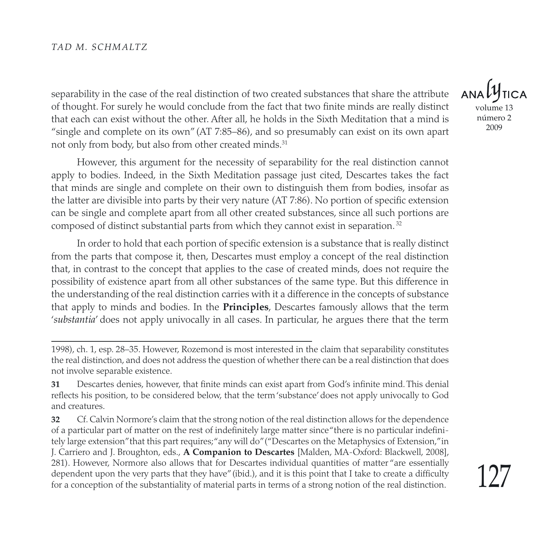separability in the case of the real distinction of two created substances that share the attribute of thought. For surely he would conclude from the fact that two finite minds are really distinct that each can exist without the other. After all, he holds in the Sixth Meditation that a mind is "single and complete on its own" (AT 7:85–86), and so presumably can exist on its own apart not only from body, but also from other created minds.<sup>31</sup>

However, this argument for the necessity of separability for the real distinction cannot apply to bodies. Indeed, in the Sixth Meditation passage just cited, Descartes takes the fact that minds are single and complete on their own to distinguish them from bodies, insofar as the latter are divisible into parts by their very nature (AT 7:86). No portion of specific extension can be single and complete apart from all other created substances, since all such portions are composed of distinct substantial parts from which they cannot exist in separation. <sup>32</sup>

In order to hold that each portion of specific extension is a substance that is really distinct from the parts that compose it, then, Descartes must employ a concept of the real distinction that, in contrast to the concept that applies to the case of created minds, does not require the possibility of existence apart from all other substances of the same type. But this difference in the understanding of the real distinction carries with it a difference in the concepts of substance that apply to minds and bodies. In the **Principles**, Descartes famously allows that the term '*substantia*' does not apply univocally in all cases. In particular, he argues there that the term

volume 13 número 2 2009

<sup>1998),</sup> ch. 1, esp. 28–35. However, Rozemond is most interested in the claim that separability constitutes the real distinction, and does not address the question of whether there can be a real distinction that does not involve separable existence.

**<sup>31</sup>** Descartes denies, however, that finite minds can exist apart from God's infinite mind. This denial reflects his position, to be considered below, that the term 'substance' does not apply univocally to God and creatures.

**<sup>32</sup>** Cf. Calvin Normore's claim that the strong notion of the real distinction allows for the dependence of a particular part of matter on the rest of indefinitely large matter since "there is no particular indefinitely large extension" that this part requires; "any will do" ("Descartes on the Metaphysics of Extension," in J. Carriero and J. Broughton, eds., **A Companion to Descartes** [Malden, MA-Oxford: Blackwell, 2008], 281). However, Normore also allows that for Descartes individual quantities of matter "are essentially dependent upon the very parts that they have" (ibid.), and it is this point that I take to create a difficulty for a conception of the substantiality of material parts in terms of a strong notion of the real distinction.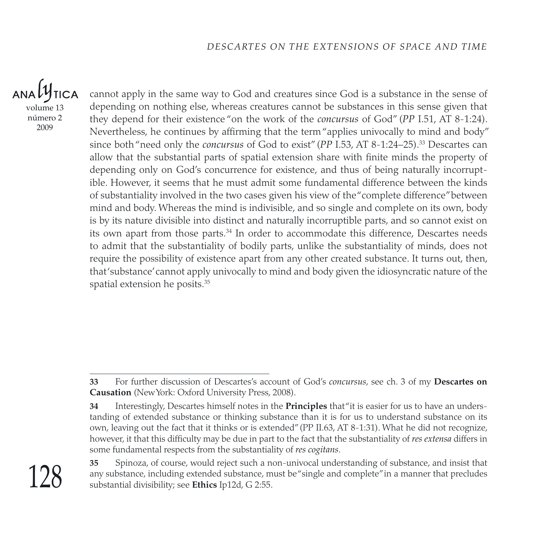ANAL **TICA** volume 13 número 2 2009

cannot apply in the same way to God and creatures since God is a substance in the sense of depending on nothing else, whereas creatures cannot be substances in this sense given that they depend for their existence "on the work of the *concursus* of God" (*PP* I.51, AT 8-1:24). Nevertheless, he continues by affirming that the term "applies univocally to mind and body" since both "need only the *concursus* of God to exist" (*PP* I.53, AT 8-1:24–25).33 Descartes can allow that the substantial parts of spatial extension share with finite minds the property of depending only on God's concurrence for existence, and thus of being naturally incorruptible. However, it seems that he must admit some fundamental difference between the kinds of substantiality involved in the two cases given his view of the "complete difference" between mind and body. Whereas the mind is indivisible, and so single and complete on its own, body is by its nature divisible into distinct and naturally incorruptible parts, and so cannot exist on its own apart from those parts.<sup>34</sup> In order to accommodate this difference, Descartes needs to admit that the substantiality of bodily parts, unlike the substantiality of minds, does not require the possibility of existence apart from any other created substance. It turns out, then, that 'substance' cannot apply univocally to mind and body given the idiosyncratic nature of the spatial extension he posits.<sup>35</sup>

**<sup>33</sup>** For further discussion of Descartes's account of God's *concursus*, see ch. 3 of my **Descartes on Causation** (New York: Oxford University Press, 2008).

**<sup>34</sup>** Interestingly, Descartes himself notes in the **Principles** that "it is easier for us to have an understanding of extended substance or thinking substance than it is for us to understand substance on its own, leaving out the fact that it thinks or is extended" (PP II.63, AT 8-1:31). What he did not recognize, however, it that this difficulty may be due in part to the fact that the substantiality of *res extensa* differs in some fundamental respects from the substantiality of *res cogitans*.

**<sup>35</sup>** Spinoza, of course, would reject such a non-univocal understanding of substance, and insist that any substance, including extended substance, must be "single and complete" in a manner that precludes substantial divisibility; see **Ethics** Ip12d, G 2:55.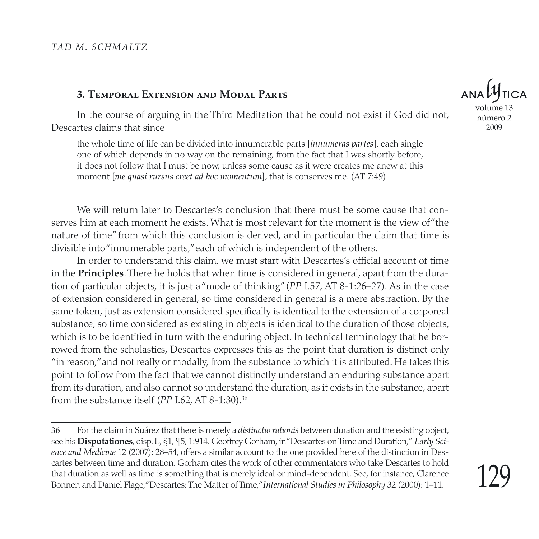#### **3. Temporal Extension and Modal Parts**

In the course of arguing in the Third Meditation that he could not exist if God did not, Descartes claims that since

the whole time of life can be divided into innumerable parts [*innumeras partes*], each single one of which depends in no way on the remaining, from the fact that I was shortly before, it does not follow that I must be now, unless some cause as it were creates me anew at this moment [*me quasi rursus creet ad hoc momentum*], that is conserves me. (AT 7:49)

We will return later to Descartes's conclusion that there must be some cause that conserves him at each moment he exists. What is most relevant for the moment is the view of "the nature of time" from which this conclusion is derived, and in particular the claim that time is divisible into "innumerable parts," each of which is independent of the others.

In order to understand this claim, we must start with Descartes's official account of time in the **Principles**. There he holds that when time is considered in general, apart from the duration of particular objects, it is just a "mode of thinking" (*PP* I.57, AT 8-1:26–27). As in the case of extension considered in general, so time considered in general is a mere abstraction. By the same token, just as extension considered specifically is identical to the extension of a corporeal substance, so time considered as existing in objects is identical to the duration of those objects, which is to be identified in turn with the enduring object. In technical terminology that he borrowed from the scholastics, Descartes expresses this as the point that duration is distinct only "in reason," and not really or modally, from the substance to which it is attributed. He takes this point to follow from the fact that we cannot distinctly understand an enduring substance apart from its duration, and also cannot so understand the duration, as it exists in the substance, apart from the substance itself (*PP* I.62, AT 8-1:30).36



volume 13 número 2 2009

**<sup>36</sup>** For the claim in Suárez that there is merely a *distinctio rationis* between duration and the existing object, see his **Disputationes**, disp. L, §1, ¶5, 1:914. Geoffrey Gorham, in "Descartes on Time and Duration," *Early Science and Medicine* 12 (2007): 28–54, offers a similar account to the one provided here of the distinction in Descartes between time and duration. Gorham cites the work of other commentators who take Descartes to hold that duration as well as time is something that is merely ideal or mind-dependent. See, for instance, Clarence Bonnen and Daniel Flage, "Descartes: The Matter of Time," *International Studies in Philosophy* 32 (2000): 1–11.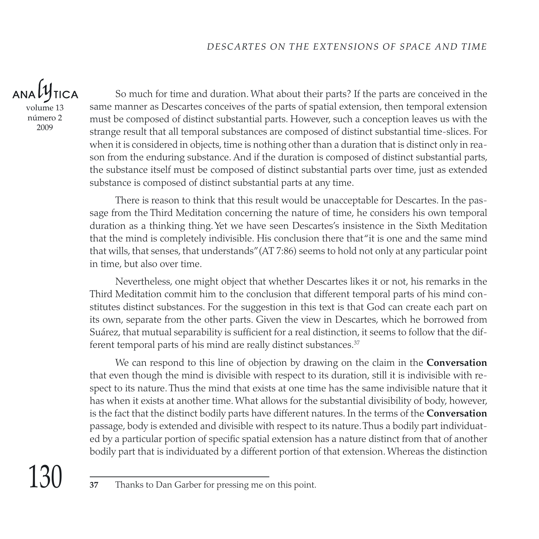$ANDU$ **TICA** volume 13

número 2 2009

So much for time and duration. What about their parts? If the parts are conceived in the same manner as Descartes conceives of the parts of spatial extension, then temporal extension must be composed of distinct substantial parts. However, such a conception leaves us with the strange result that all temporal substances are composed of distinct substantial time-slices. For when it is considered in objects, time is nothing other than a duration that is distinct only in reason from the enduring substance. And if the duration is composed of distinct substantial parts, the substance itself must be composed of distinct substantial parts over time, just as extended substance is composed of distinct substantial parts at any time.

There is reason to think that this result would be unacceptable for Descartes. In the passage from the Third Meditation concerning the nature of time, he considers his own temporal duration as a thinking thing. Yet we have seen Descartes's insistence in the Sixth Meditation that the mind is completely indivisible. His conclusion there that "it is one and the same mind that wills, that senses, that understands" (AT 7:86) seems to hold not only at any particular point in time, but also over time.

Nevertheless, one might object that whether Descartes likes it or not, his remarks in the Third Meditation commit him to the conclusion that different temporal parts of his mind constitutes distinct substances. For the suggestion in this text is that God can create each part on its own, separate from the other parts. Given the view in Descartes, which he borrowed from Suárez, that mutual separability is sufficient for a real distinction, it seems to follow that the different temporal parts of his mind are really distinct substances.<sup>37</sup>

We can respond to this line of objection by drawing on the claim in the **Conversation** that even though the mind is divisible with respect to its duration, still it is indivisible with respect to its nature. Thus the mind that exists at one time has the same indivisible nature that it has when it exists at another time. What allows for the substantial divisibility of body, however, is the fact that the distinct bodily parts have different natures. In the terms of the **Conversation** passage, body is extended and divisible with respect to its nature. Thus a bodily part individuated by a particular portion of specific spatial extension has a nature distinct from that of another bodily part that is individuated by a different portion of that extension. Whereas the distinction

**<sup>37</sup>** Thanks to Dan Garber for pressing me on this point.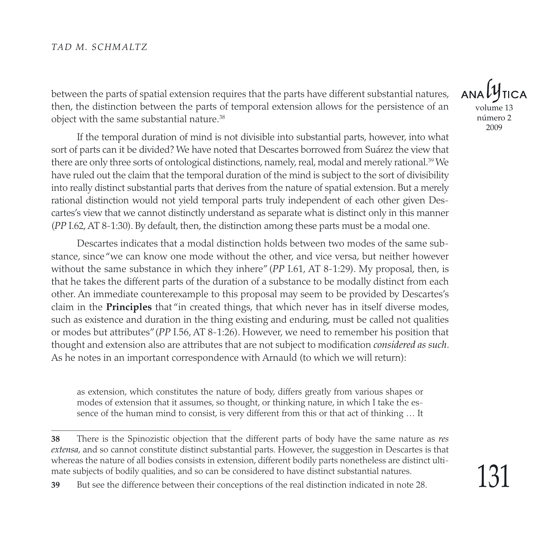between the parts of spatial extension requires that the parts have different substantial natures, then, the distinction between the parts of temporal extension allows for the persistence of an object with the same substantial nature.38

If the temporal duration of mind is not divisible into substantial parts, however, into what sort of parts can it be divided? We have noted that Descartes borrowed from Suárez the view that there are only three sorts of ontological distinctions, namely, real, modal and merely rational.<sup>39</sup> We have ruled out the claim that the temporal duration of the mind is subject to the sort of divisibility into really distinct substantial parts that derives from the nature of spatial extension. But a merely rational distinction would not yield temporal parts truly independent of each other given Descartes's view that we cannot distinctly understand as separate what is distinct only in this manner (*PP* I.62, AT 8-1:30). By default, then, the distinction among these parts must be a modal one.

Descartes indicates that a modal distinction holds between two modes of the same substance, since "we can know one mode without the other, and vice versa, but neither however without the same substance in which they inhere" (*PP* I.61, AT 8-1:29). My proposal, then, is that he takes the different parts of the duration of a substance to be modally distinct from each other. An immediate counterexample to this proposal may seem to be provided by Descartes's claim in the **Principles** that "in created things, that which never has in itself diverse modes, such as existence and duration in the thing existing and enduring, must be called not qualities or modes but attributes" (*PP* I.56, AT 8-1:26). However, we need to remember his position that thought and extension also are attributes that are not subject to modification *considered as such*. As he notes in an important correspondence with Arnauld (to which we will return):

as extension, which constitutes the nature of body, differs greatly from various shapes or modes of extension that it assumes, so thought, or thinking nature, in which I take the essence of the human mind to consist, is very different from this or that act of thinking … It

volume 13 número 2 2009

**<sup>38</sup>** There is the Spinozistic objection that the different parts of body have the same nature as *res extensa*, and so cannot constitute distinct substantial parts. However, the suggestion in Descartes is that whereas the nature of all bodies consists in extension, different bodily parts nonetheless are distinct ultimate subjects of bodily qualities, and so can be considered to have distinct substantial natures.

**<sup>39</sup>** But see the difference between their conceptions of the real distinction indicated in note 28.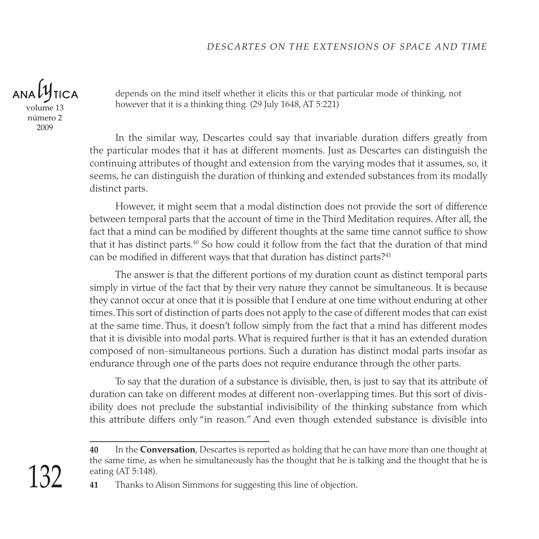volume 13 número 2 2009

depends on the mind itself whether it elicits this or that particular mode of thinking, not however that it is a thinking thing. (29 July 1648, AT 5:221)

In the similar way, Descartes could say that invariable duration differs greatly from the particular modes that it has at different moments. Just as Descartes can distinguish the continuing attributes of thought and extension from the varying modes that it assumes, so, it seems, he can distinguish the duration of thinking and extended substances from its modally distinct parts.

However, it might seem that a modal distinction does not provide the sort of difference between temporal parts that the account of time in the Third Meditation requires. After all, the fact that a mind can be modified by different thoughts at the same time cannot suffice to show that it has distinct parts.40 So how could it follow from the fact that the duration of that mind can be modified in different ways that that duration has distinct parts?<sup>41</sup>

The answer is that the different portions of my duration count as distinct temporal parts simply in virtue of the fact that by their very nature they cannot be simultaneous. It is because they cannot occur at once that it is possible that I endure at one time without enduring at other times. This sort of distinction of parts does not apply to the case of different modes that can exist at the same time. Thus, it doesn't follow simply from the fact that a mind has different modes that it is divisible into modal parts. What is required further is that it has an extended duration composed of non-simultaneous portions. Such a duration has distinct modal parts insofar as endurance through one of the parts does not require endurance through the other parts.

To say that the duration of a substance is divisible, then, is just to say that its attribute of duration can take on different modes at different non-overlapping times. But this sort of divisibility does not preclude the substantial indivisibility of the thinking substance from which this attribute differs only "in reason." And even though extended substance is divisible into

**<sup>40</sup>** In the **Conversation**, Descartes is reported as holding that he can have more than one thought at the same time, as when he simultaneously has the thought that he is talking and the thought that he is eating (AT 5:148).

**<sup>41</sup>** Thanks to Alison Simmons for suggesting this line of objection.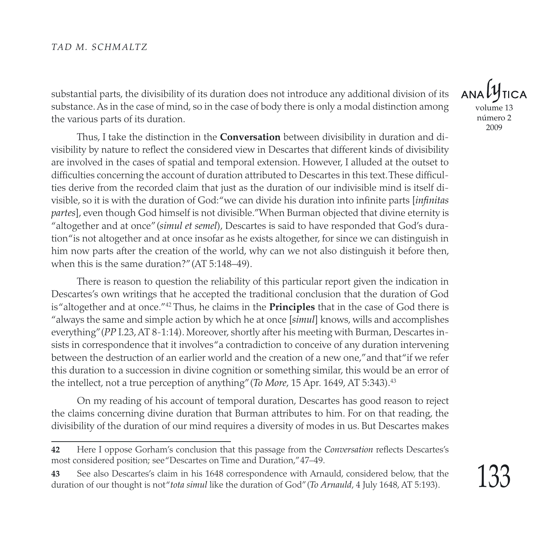substantial parts, the divisibility of its duration does not introduce any additional division of its substance. As in the case of mind, so in the case of body there is only a modal distinction among the various parts of its duration.

Thus, I take the distinction in the **Conversation** between divisibility in duration and divisibility by nature to reflect the considered view in Descartes that different kinds of divisibility are involved in the cases of spatial and temporal extension. However, I alluded at the outset to difficulties concerning the account of duration attributed to Descartes in this text. These difficulties derive from the recorded claim that just as the duration of our indivisible mind is itself divisible, so it is with the duration of God: "we can divide his duration into infinite parts [*infinitas partes*], even though God himself is not divisible." When Burman objected that divine eternity is "altogether and at once" (*simul et semel*), Descartes is said to have responded that God's duration "is not altogether and at once insofar as he exists altogether, for since we can distinguish in him now parts after the creation of the world, why can we not also distinguish it before then, when this is the same duration?" (AT 5:148–49).

There is reason to question the reliability of this particular report given the indication in Descartes's own writings that he accepted the traditional conclusion that the duration of God is "altogether and at once."42 Thus, he claims in the **Principles** that in the case of God there is "always the same and simple action by which he at once [*simul*] knows, wills and accomplishes everything" (*PP* I.23, AT 8-1:14). Moreover, shortly after his meeting with Burman, Descartes insists in correspondence that it involves "a contradiction to conceive of any duration intervening between the destruction of an earlier world and the creation of a new one," and that "if we refer this duration to a succession in divine cognition or something similar, this would be an error of the intellect, not a true perception of anything" (*To More*, 15 Apr. 1649, AT 5:343).43

On my reading of his account of temporal duration, Descartes has good reason to reject the claims concerning divine duration that Burman attributes to him. For on that reading, the divisibility of the duration of our mind requires a diversity of modes in us. But Descartes makes

 $ANDU$ volume 13 número 2 2009

**<sup>42</sup>** Here I oppose Gorham's conclusion that this passage from the *Conversation* reflects Descartes's most considered position; see "Descartes on Time and Duration," 47–49.

**<sup>43</sup>** See also Descartes's claim in his 1648 correspondence with Arnauld, considered below, that the duration of our thought is not "*tota simul* like the duration of God" (*To Arnauld*, 4 July 1648, AT 5:193).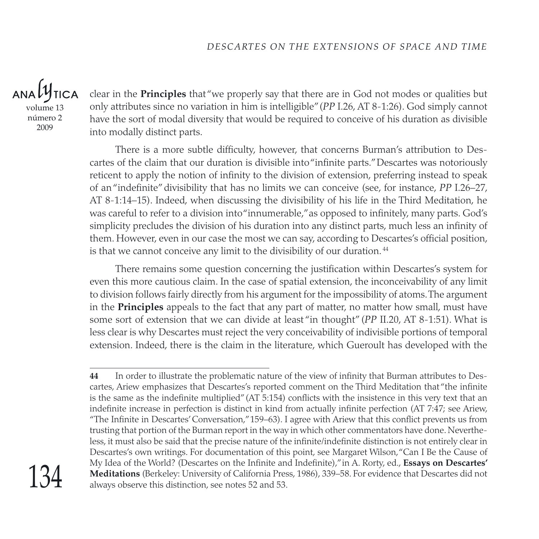$ANDU$ **TICA** 

volume 13 número 2 2009

clear in the **Principles** that "we properly say that there are in God not modes or qualities but only attributes since no variation in him is intelligible" (*PP* I.26, AT 8-1:26). God simply cannot have the sort of modal diversity that would be required to conceive of his duration as divisible into modally distinct parts.

There is a more subtle difficulty, however, that concerns Burman's attribution to Descartes of the claim that our duration is divisible into "infinite parts." Descartes was notoriously reticent to apply the notion of infinity to the division of extension, preferring instead to speak of an "indefinite" divisibility that has no limits we can conceive (see, for instance, *PP* I.26–27, AT 8-1:14–15). Indeed, when discussing the divisibility of his life in the Third Meditation, he was careful to refer to a division into "innumerable," as opposed to infinitely, many parts. God's simplicity precludes the division of his duration into any distinct parts, much less an infinity of them. However, even in our case the most we can say, according to Descartes's official position, is that we cannot conceive any limit to the divisibility of our duration.<sup>44</sup>

There remains some question concerning the justification within Descartes's system for even this more cautious claim. In the case of spatial extension, the inconceivability of any limit to division follows fairly directly from his argument for the impossibility of atoms. The argument in the **Principles** appeals to the fact that any part of matter, no matter how small, must have some sort of extension that we can divide at least "in thought" (*PP* II.20, AT 8-1:51). What is less clear is why Descartes must reject the very conceivability of indivisible portions of temporal extension. Indeed, there is the claim in the literature, which Gueroult has developed with the

**<sup>44</sup>** In order to illustrate the problematic nature of the view of infinity that Burman attributes to Descartes, Ariew emphasizes that Descartes's reported comment on the Third Meditation that "the infinite is the same as the indefinite multiplied" (AT 5:154) conflicts with the insistence in this very text that an indefinite increase in perfection is distinct in kind from actually infinite perfection (AT 7:47; see Ariew, "The Infinite in Descartes' Conversation," 159–63). I agree with Ariew that this conflict prevents us from trusting that portion of the Burman report in the way in which other commentators have done. Nevertheless, it must also be said that the precise nature of the infinite/indefinite distinction is not entirely clear in Descartes's own writings. For documentation of this point, see Margaret Wilson, "Can I Be the Cause of My Idea of the World? (Descartes on the Infinite and Indefinite)," in A. Rorty, ed., **Essays on Descartes' Meditations** (Berkeley: University of California Press, 1986), 339–58. For evidence that Descartes did not always observe this distinction, see notes 52 and 53.

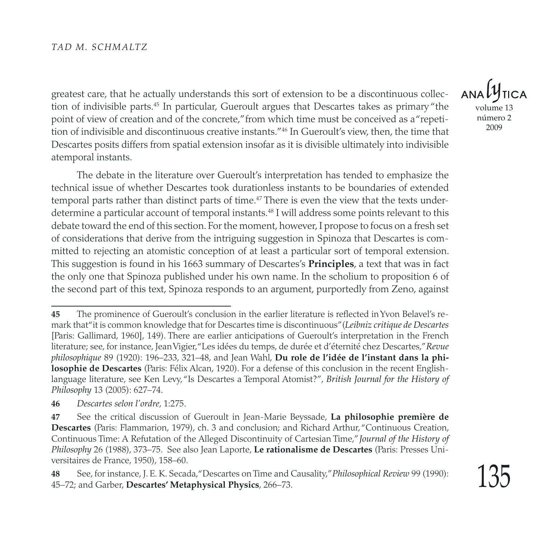greatest care, that he actually understands this sort of extension to be a discontinuous collection of indivisible parts.45 In particular, Gueroult argues that Descartes takes as primary "the point of view of creation and of the concrete," from which time must be conceived as a "repetition of indivisible and discontinuous creative instants."46 In Gueroult's view, then, the time that Descartes posits differs from spatial extension insofar as it is divisible ultimately into indivisible atemporal instants.

The debate in the literature over Gueroult's interpretation has tended to emphasize the technical issue of whether Descartes took durationless instants to be boundaries of extended temporal parts rather than distinct parts of time.<sup>47</sup> There is even the view that the texts underdetermine a particular account of temporal instants.48 I will address some points relevant to this debate toward the end of this section. For the moment, however, I propose to focus on a fresh set of considerations that derive from the intriguing suggestion in Spinoza that Descartes is committed to rejecting an atomistic conception of at least a particular sort of temporal extension. This suggestion is found in his 1663 summary of Descartes's **Principles**, a text that was in fact the only one that Spinoza published under his own name. In the scholium to proposition 6 of the second part of this text, Spinoza responds to an argument, purportedly from Zeno, against

volume 13 número 2 2009

**<sup>45</sup>** The prominence of Gueroult's conclusion in the earlier literature is reflected in Yvon Belavel's remark that "it is common knowledge that for Descartes time is discontinuous" (*Leibniz critique de Descartes* [Paris: Gallimard, 1960], 149). There are earlier anticipations of Gueroult's interpretation in the French literature; see, for instance, Jean Vigier, "Les idées du temps, de durée et d'éternité chez Descartes," *Revue philosophique* 89 (1920): 196–233, 321–48, and Jean Wahl, **Du role de l'idée de l'instant dans la philosophie de Descartes** (Paris: Félix Alcan, 1920). For a defense of this conclusion in the recent Englishlanguage literature, see Ken Levy, "Is Descartes a Temporal Atomist?", *British Journal for the History of Philosophy* 13 (2005): 627–74.

**<sup>46</sup>** *Descartes selon l'ordre*, 1:275.

**<sup>47</sup>** See the critical discussion of Gueroult in Jean-Marie Beyssade, **La philosophie première de Descartes** (Paris: Flammarion, 1979), ch. 3 and conclusion; and Richard Arthur, "Continuous Creation, Continuous Time: A Refutation of the Alleged Discontinuity of Cartesian Time," *Journal of the History of Philosophy* 26 (1988), 373–75. See also Jean Laporte, **Le rationalisme de Descartes** (Paris: Presses Universitaires de France, 1950), 158–60.

**<sup>48</sup>** See, for instance, J. E. K. Secada, "Descartes on Time and Causality," *Philosophical Review* 99 (1990): 45–72; and Garber, **Descartes' Metaphysical Physics**, 266–73.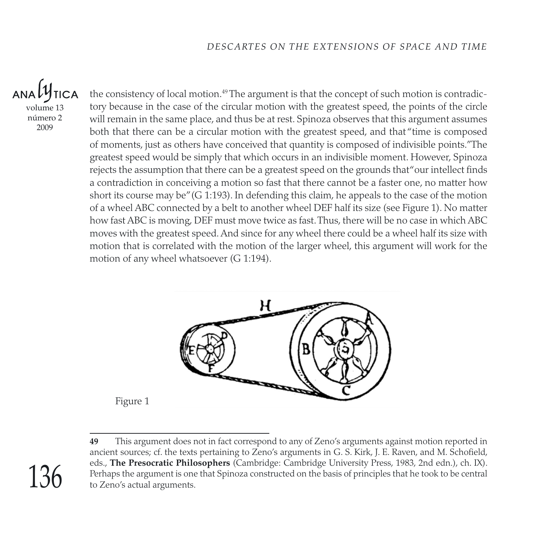volume 13 número 2 2009

the consistency of local motion.<sup>49</sup> The argument is that the concept of such motion is contradictory because in the case of the circular motion with the greatest speed, the points of the circle will remain in the same place, and thus be at rest. Spinoza observes that this argument assumes both that there can be a circular motion with the greatest speed, and that "time is composed of moments, just as others have conceived that quantity is composed of indivisible points." The greatest speed would be simply that which occurs in an indivisible moment. However, Spinoza rejects the assumption that there can be a greatest speed on the grounds that"our intellect finds a contradiction in conceiving a motion so fast that there cannot be a faster one, no matter how short its course may be" (G 1:193). In defending this claim, he appeals to the case of the motion of a wheel ABC connected by a belt to another wheel DEF half its size (see Figure 1). No matter how fast ABC is moving, DEF must move twice as fast. Thus, there will be no case in which ABC moves with the greatest speed. And since for any wheel there could be a wheel half its size with motion that is correlated with the motion of the larger wheel, this argument will work for the motion of any wheel whatsoever (G 1:194).



**49** This argument does not in fact correspond to any of Zeno's arguments against motion reported in ancient sources; cf. the texts pertaining to Zeno's arguments in G. S. Kirk, J. E. Raven, and M. Schofield, eds., **The Presocratic Philosophers** (Cambridge: Cambridge University Press, 1983, 2nd edn.), ch. IX). Perhaps the argument is one that Spinoza constructed on the basis of principles that he took to be central to Zeno's actual arguments.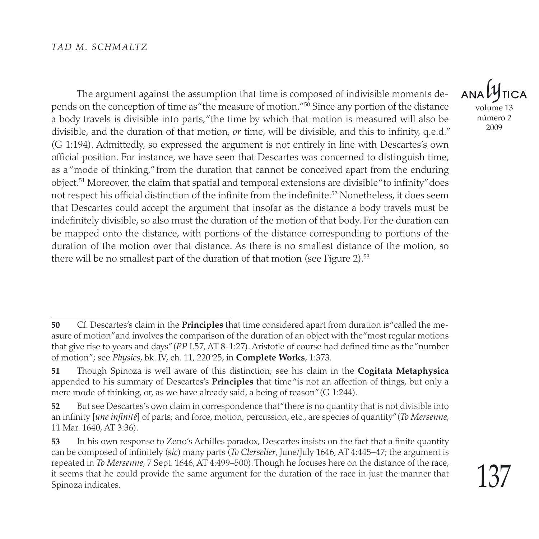The argument against the assumption that time is composed of indivisible moments depends on the conception of time as "the measure of motion."50 Since any portion of the distance a body travels is divisible into parts,"the time by which that motion is measured will also be divisible, and the duration of that motion, *or* time, will be divisible, and this to infinity, q.e.d." (G 1:194). Admittedly, so expressed the argument is not entirely in line with Descartes's own official position. For instance, we have seen that Descartes was concerned to distinguish time, as a "mode of thinking," from the duration that cannot be conceived apart from the enduring object.<sup>51</sup> Moreover, the claim that spatial and temporal extensions are divisible"to infinity″does not respect his official distinction of the infinite from the indefinite.<sup>52</sup> Nonetheless, it does seem that Descartes could accept the argument that insofar as the distance a body travels must be indefinitely divisible, so also must the duration of the motion of that body. For the duration can be mapped onto the distance, with portions of the distance corresponding to portions of the duration of the motion over that distance. As there is no smallest distance of the motion, so there will be no smallest part of the duration of that motion (see Figure 2).<sup>53</sup>

**ANA** volume 13 número 2

**<sup>50</sup>** Cf. Descartes's claim in the **Principles** that time considered apart from duration is "called the measure of motion" and involves the comparison of the duration of an object with the "most regular motions that give rise to years and days" (*PP* I.57, AT 8-1:27). Aristotle of course had defined time as the "number of motion"; see *Physics*, bk. IV, ch. 11, 220a 25, in **Complete Works**, 1:373.

**<sup>51</sup>** Though Spinoza is well aware of this distinction; see his claim in the **Cogitata Metaphysica** appended to his summary of Descartes's **Principles** that time "is not an affection of things, but only a mere mode of thinking, or, as we have already said, a being of reason" (G 1:244).

**<sup>52</sup>** But see Descartes's own claim in correspondence that "there is no quantity that is not divisible into an infinity [*une infinité*] of parts; and force, motion, percussion, etc., are species of quantity" (*To Mersenne*, 11 Mar. 1640, AT 3:36).

**<sup>53</sup>** In his own response to Zeno's Achilles paradox, Descartes insists on the fact that a finite quantity can be composed of infinitely (*sic*) many parts (*To Clerselier*, June/July 1646, AT 4:445–47; the argument is repeated in *To Mersenne*, 7 Sept. 1646, AT 4:499–500). Though he focuses here on the distance of the race, it seems that he could provide the same argument for the duration of the race in just the manner that Spinoza indicates.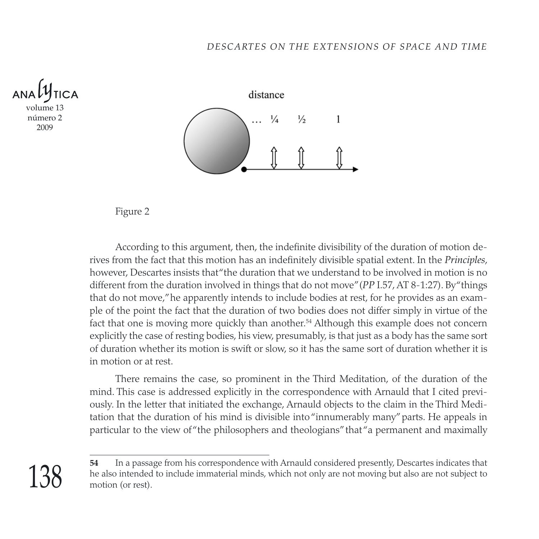

138



Figure 2

According to this argument, then, the indefinite divisibility of the duration of motion derives from the fact that this motion has an indefinitely divisible spatial extent. In the *Principles*, however, Descartes insists that "the duration that we understand to be involved in motion is no different from the duration involved in things that do not move" (*PP* I.57, AT 8-1:27). By "things that do not move," he apparently intends to include bodies at rest, for he provides as an example of the point the fact that the duration of two bodies does not differ simply in virtue of the fact that one is moving more quickly than another.<sup>54</sup> Although this example does not concern explicitly the case of resting bodies, his view, presumably, is that just as a body has the same sort of duration whether its motion is swift or slow, so it has the same sort of duration whether it is in motion or at rest.

There remains the case, so prominent in the Third Meditation, of the duration of the mind. This case is addressed explicitly in the correspondence with Arnauld that I cited previously. In the letter that initiated the exchange, Arnauld objects to the claim in the Third Meditation that the duration of his mind is divisible into "innumerably many" parts. He appeals in particular to the view of "the philosophers and theologians" that "a permanent and maximally

**<sup>54</sup>** In a passage from his correspondence with Arnauld considered presently, Descartes indicates that he also intended to include immaterial minds, which not only are not moving but also are not subject to motion (or rest).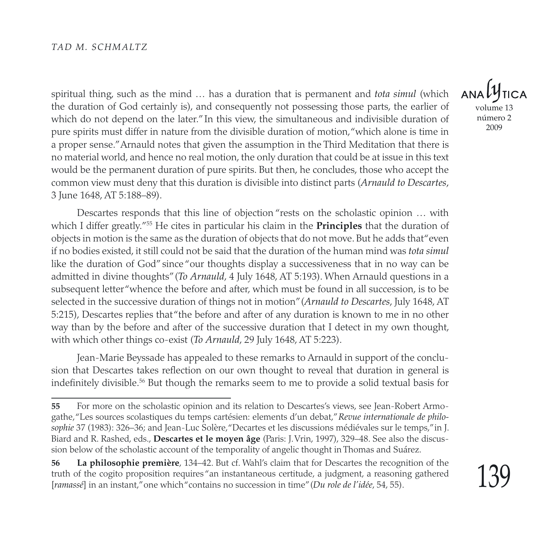spiritual thing, such as the mind … has a duration that is permanent and *tota simul* (which the duration of God certainly is), and consequently not possessing those parts, the earlier of which do not depend on the later." In this view, the simultaneous and indivisible duration of pure spirits must differ in nature from the divisible duration of motion, "which alone is time in a proper sense." Arnauld notes that given the assumption in the Third Meditation that there is no material world, and hence no real motion, the only duration that could be at issue in this text would be the permanent duration of pure spirits. But then, he concludes, those who accept the common view must deny that this duration is divisible into distinct parts (*Arnauld to Descartes,* 3 June 1648, AT 5:188–89).

Descartes responds that this line of objection "rests on the scholastic opinion … with which I differ greatly."55 He cites in particular his claim in the **Principles** that the duration of objects in motion is the same as the duration of objects that do not move. But he adds that "even if no bodies existed, it still could not be said that the duration of the human mind was *tota simul* like the duration of God" since "our thoughts display a successiveness that in no way can be admitted in divine thoughts" (*To Arnauld*, 4 July 1648, AT 5:193). When Arnauld questions in a subsequent letter "whence the before and after, which must be found in all succession, is to be selected in the successive duration of things not in motion" (*Arnauld to Descartes*, July 1648, AT 5:215), Descartes replies that "the before and after of any duration is known to me in no other way than by the before and after of the successive duration that I detect in my own thought, with which other things co-exist (*To Arnauld*, 29 July 1648, AT 5:223).

Jean-Marie Beyssade has appealed to these remarks to Arnauld in support of the conclusion that Descartes takes reflection on our own thought to reveal that duration in general is indefinitely divisible.56 But though the remarks seem to me to provide a solid textual basis for

**ANA** volume 13 número 2

**<sup>55</sup>** For more on the scholastic opinion and its relation to Descartes's views, see Jean-Robert Armogathe, "Les sources scolastiques du temps cartésien: elements d'un debat," *Revue internationale de philosophie* 37 (1983): 326–36; and Jean-Luc Solère, "Decartes et les discussions médiévales sur le temps," in J. Biard and R. Rashed, eds., **Descartes et le moyen âge** (Paris: J. Vrin, 1997), 329–48. See also the discussion below of the scholastic account of the temporality of angelic thought in Thomas and Suárez.

**<sup>56</sup> La philosophie première**, 134–42. But cf. Wahl's claim that for Descartes the recognition of the truth of the cogito proposition requires "an instantaneous certitude, a judgment, a reasoning gathered [*ramassé*] in an instant," one which "contains no succession in time" (*Du role de l'idée*, 54, 55).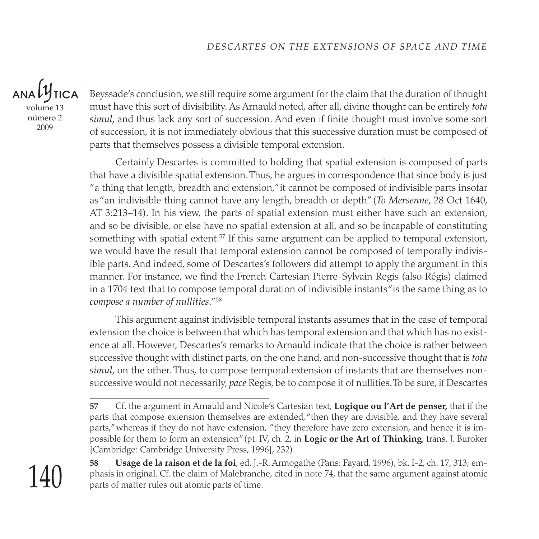$ANDLI$ **TICA** volume 13 número 2 2009

Beyssade's conclusion, we still require some argument for the claim that the duration of thought must have this sort of divisibility. As Arnauld noted, after all, divine thought can be entirely *tota simul*, and thus lack any sort of succession. And even if finite thought must involve some sort of succession, it is not immediately obvious that this successive duration must be composed of parts that themselves possess a divisible temporal extension.

Certainly Descartes is committed to holding that spatial extension is composed of parts that have a divisible spatial extension. Thus, he argues in correspondence that since body is just "a thing that length, breadth and extension," it cannot be composed of indivisible parts insofar as "an indivisible thing cannot have any length, breadth or depth" (*To Mersenne*, 28 Oct 1640, AT 3:213–14). In his view, the parts of spatial extension must either have such an extension, and so be divisible, or else have no spatial extension at all, and so be incapable of constituting something with spatial extent.<sup>57</sup> If this same argument can be applied to temporal extension, we would have the result that temporal extension cannot be composed of temporally indivisible parts. And indeed, some of Descartes's followers did attempt to apply the argument in this manner. For instance, we find the French Cartesian Pierre-Sylvain Regis (also Régis) claimed in a 1704 text that to compose temporal duration of indivisible instants "is the same thing as to *compose a number of nullities*."58

This argument against indivisible temporal instants assumes that in the case of temporal extension the choice is between that which has temporal extension and that which has no existence at all. However, Descartes's remarks to Arnauld indicate that the choice is rather between successive thought with distinct parts, on the one hand, and non-successive thought that is *tota simul*, on the other. Thus, to compose temporal extension of instants that are themselves nonsuccessive would not necessarily, *pace* Regis, be to compose it of nullities. To be sure, if Descartes

**<sup>57</sup>** Cf. the argument in Arnauld and Nicole's Cartesian text, **Logique ou l'Art de penser,** that if the parts that compose extension themselves are extended, "then they are divisible, and they have several parts," whereas if they do not have extension, "they therefore have zero extension, and hence it is impossible for them to form an extension" (pt. IV, ch. 2, in **Logic or the Art of Thinking**, trans. J. Buroker [Cambridge: Cambridge University Press, 1996], 232).



**58 Usage de la raison et de la foi**, ed. J.-R. Armogathe (Paris: Fayard, 1996), bk. I-2, ch. 17, 313; emphasis in original. Cf. the claim of Malebranche, cited in note 74, that the same argument against atomic parts of matter rules out atomic parts of time.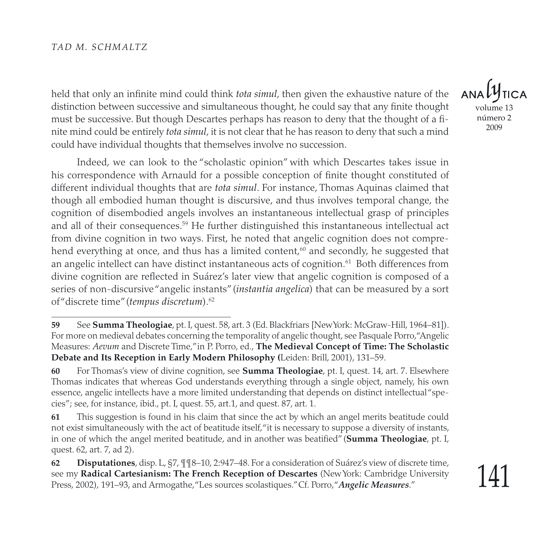held that only an infinite mind could think *tota simul*, then given the exhaustive nature of the distinction between successive and simultaneous thought, he could say that any finite thought must be successive. But though Descartes perhaps has reason to deny that the thought of a finite mind could be entirely *tota simul*, it is not clear that he has reason to deny that such a mind could have individual thoughts that themselves involve no succession.

Indeed, we can look to the "scholastic opinion" with which Descartes takes issue in his correspondence with Arnauld for a possible conception of finite thought constituted of different individual thoughts that are *tota simul*. For instance, Thomas Aquinas claimed that though all embodied human thought is discursive, and thus involves temporal change, the cognition of disembodied angels involves an instantaneous intellectual grasp of principles and all of their consequences.59 He further distinguished this instantaneous intellectual act from divine cognition in two ways. First, he noted that angelic cognition does not comprehend everything at once, and thus has a limited content,<sup>60</sup> and secondly, he suggested that an angelic intellect can have distinct instantaneous acts of cognition. $^{61}$  Both differences from divine cognition are reflected in Suárez's later view that angelic cognition is composed of a series of non-discursive "angelic instants" (*instantia angelica*) that can be measured by a sort of "discrete time" (*tempus discretum*).62

volume 13 número 2 2009

**<sup>59</sup>** See **Summa Theologiae**, pt. I, quest. 58, art. 3 (Ed. Blackfriars [New York: McGraw-Hill, 1964–81]). For more on medieval debates concerning the temporality of angelic thought, see Pasquale Porro, "Angelic Measures: *Aevum* and Discrete Time," in P. Porro, ed., **The Medieval Concept of Time: The Scholastic Debate and Its Reception in Early Modern Philosophy (**Leiden: Brill, 2001), 131–59.

**<sup>60</sup>** For Thomas's view of divine cognition, see **Summa Theologiae**, pt. I, quest. 14, art. 7. Elsewhere Thomas indicates that whereas God understands everything through a single object, namely, his own essence, angelic intellects have a more limited understanding that depends on distinct intellectual "species"; see, for instance, ibid., pt. I, quest. 55, art.1, and quest. 87, art. 1.

**<sup>61</sup>** This suggestion is found in his claim that since the act by which an angel merits beatitude could not exist simultaneously with the act of beatitude itself, "it is necessary to suppose a diversity of instants, in one of which the angel merited beatitude, and in another was beatified" (**Summa Theologiae**, pt. I, quest. 62, art. 7, ad 2).

**<sup>62</sup> Disputationes**, disp. L, §7, ¶¶8–10, 2:947–48. For a consideration of Suárez's view of discrete time, see my **Radical Cartesianism: The French Reception of Descartes** (New York: Cambridge University Press, 2002), 191–93, and Armogathe, "Les sources scolastiques." Cf. Porro, "*Angelic Measures*."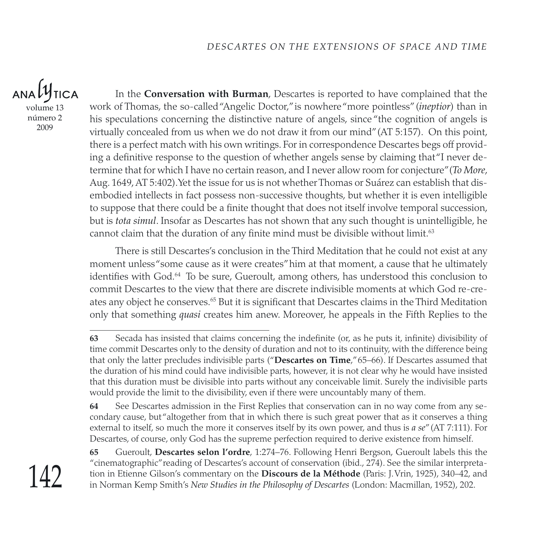$ANDU$ **TICA** 

volume 13 número 2 2009

In the **Conversation with Burman**, Descartes is reported to have complained that the work of Thomas, the so-called "Angelic Doctor," is nowhere "more pointless" (*ineptior*) than in his speculations concerning the distinctive nature of angels, since "the cognition of angels is virtually concealed from us when we do not draw it from our mind" (AT 5:157). On this point, there is a perfect match with his own writings. For in correspondence Descartes begs off providing a definitive response to the question of whether angels sense by claiming that "I never determine that for which I have no certain reason, and I never allow room for conjecture" (*To More*, Aug. 1649, AT 5:402). Yet the issue for us is not whether Thomas or Suárez can establish that disembodied intellects in fact possess non-successive thoughts, but whether it is even intelligible to suppose that there could be a finite thought that does not itself involve temporal succession, but is *tota simul*. Insofar as Descartes has not shown that any such thought is unintelligible, he cannot claim that the duration of any finite mind must be divisible without limit.<sup>63</sup>

There is still Descartes's conclusion in the Third Meditation that he could not exist at any moment unless "some cause as it were creates" him at that moment, a cause that he ultimately identifies with God.<sup>64</sup> To be sure, Gueroult, among others, has understood this conclusion to commit Descartes to the view that there are discrete indivisible moments at which God re-creates any object he conserves.65 But it is significant that Descartes claims in the Third Meditation only that something *quasi* creates him anew. Moreover, he appeals in the Fifth Replies to the

**65** Gueroult, **Descartes selon l'ordre**, 1:274–76. Following Henri Bergson, Gueroult labels this the "cinematographic" reading of Descartes's account of conservation (ibid., 274). See the similar interpretation in Etienne Gilson's commentary on the **Discours de la Méthode** (Paris: J. Vrin, 1925), 340–42, and in Norman Kemp Smith's *New Studies in the Philosophy of Descartes* (London: Macmillan, 1952), 202.

**<sup>63</sup>** Secada has insisted that claims concerning the indefinite (or, as he puts it, infinite) divisibility of time commit Descartes only to the density of duration and not to its continuity, with the difference being that only the latter precludes indivisible parts ("**Descartes on Time**," 65–66). If Descartes assumed that the duration of his mind could have indivisible parts, however, it is not clear why he would have insisted that this duration must be divisible into parts without any conceivable limit. Surely the indivisible parts would provide the limit to the divisibility, even if there were uncountably many of them.

**<sup>64</sup>** See Descartes admission in the First Replies that conservation can in no way come from any secondary cause, but "altogether from that in which there is such great power that as it conserves a thing external to itself, so much the more it conserves itself by its own power, and thus is *a se*" (AT 7:111). For Descartes, of course, only God has the supreme perfection required to derive existence from himself.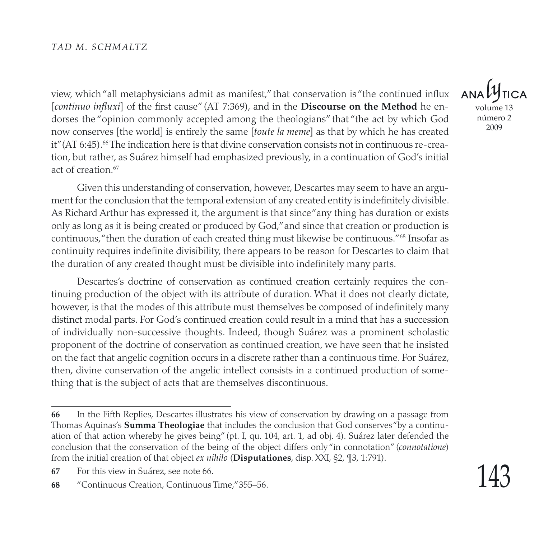view, which "all metaphysicians admit as manifest," that conservation is "the continued influx [*continuo influxi*] of the first cause" (AT 7:369), and in the **Discourse on the Method** he endorses the "opinion commonly accepted among the theologians" that "the act by which God now conserves [the world] is entirely the same [*toute la meme*] as that by which he has created it" (AT 6:45).<sup>66</sup> The indication here is that divine conservation consists not in continuous re-creation, but rather, as Suárez himself had emphasized previously, in a continuation of God's initial act of creation  $67$ 

Given this understanding of conservation, however, Descartes may seem to have an argument for the conclusion that the temporal extension of any created entity is indefinitely divisible. As Richard Arthur has expressed it, the argument is that since "any thing has duration or exists only as long as it is being created or produced by God," and since that creation or production is continuous, "then the duration of each created thing must likewise be continuous."68 Insofar as continuity requires indefinite divisibility, there appears to be reason for Descartes to claim that the duration of any created thought must be divisible into indefinitely many parts.

Descartes's doctrine of conservation as continued creation certainly requires the continuing production of the object with its attribute of duration. What it does not clearly dictate, however, is that the modes of this attribute must themselves be composed of indefinitely many distinct modal parts. For God's continued creation could result in a mind that has a succession of individually non-successive thoughts. Indeed, though Suárez was a prominent scholastic proponent of the doctrine of conservation as continued creation, we have seen that he insisted on the fact that angelic cognition occurs in a discrete rather than a continuous time. For Suárez, then, divine conservation of the angelic intellect consists in a continued production of something that is the subject of acts that are themselves discontinuous.

volume 13 número 2 2009

**<sup>66</sup>** In the Fifth Replies, Descartes illustrates his view of conservation by drawing on a passage from Thomas Aquinas's **Summa Theologiae** that includes the conclusion that God conserves "by a continuation of that action whereby he gives being" (pt. I, qu. 104, art. 1, ad obj. 4). Suárez later defended the conclusion that the conservation of the being of the object differs only "in connotation" (*connotatione*) from the initial creation of that object *ex nihilo* (**Disputationes**, disp. XXI, §2, ¶3, 1:791).

**<sup>67</sup>** For this view in Suárez, see note 66.

**<sup>68</sup>** "Continuous Creation, Continuous Time," 355–56.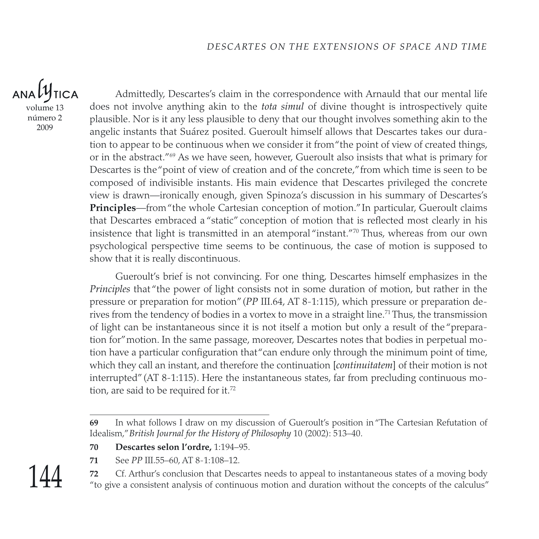### $ANAL$ **TICA**

volume 13 número 2 2009

Admittedly, Descartes's claim in the correspondence with Arnauld that our mental life does not involve anything akin to the *tota simul* of divine thought is introspectively quite plausible. Nor is it any less plausible to deny that our thought involves something akin to the angelic instants that Suárez posited. Gueroult himself allows that Descartes takes our duration to appear to be continuous when we consider it from "the point of view of created things, or in the abstract."69 As we have seen, however, Gueroult also insists that what is primary for Descartes is the "point of view of creation and of the concrete," from which time is seen to be composed of indivisible instants. His main evidence that Descartes privileged the concrete view is drawn—ironically enough, given Spinoza's discussion in his summary of Descartes's **Principles**—from "the whole Cartesian conception of motion." In particular, Gueroult claims that Descartes embraced a "static" conception of motion that is reflected most clearly in his insistence that light is transmitted in an atemporal "instant." 70 Thus, whereas from our own psychological perspective time seems to be continuous, the case of motion is supposed to show that it is really discontinuous.

Gueroult's brief is not convincing. For one thing, Descartes himself emphasizes in the *Principles* that "the power of light consists not in some duration of motion, but rather in the pressure or preparation for motion" (*PP* III.64, AT 8-1:115), which pressure or preparation derives from the tendency of bodies in a vortex to move in a straight line.<sup>71</sup> Thus, the transmission of light can be instantaneous since it is not itself a motion but only a result of the "preparation for" motion. In the same passage, moreover, Descartes notes that bodies in perpetual motion have a particular configuration that "can endure only through the minimum point of time, which they call an instant, and therefore the continuation [*continuitatem*] of their motion is not interrupted" (AT 8-1:115). Here the instantaneous states, far from precluding continuous motion, are said to be required for it.<sup>72</sup>

- **70 Descartes selon l'ordre,** 1:194–95.
- **71** See *PP* III.55–60, AT 8-1:108–12.

**72** Cf. Arthur's conclusion that Descartes needs to appeal to instantaneous states of a moving body "to give a consistent analysis of continuous motion and duration without the concepts of the calculus"

**<sup>69</sup>** In what follows I draw on my discussion of Gueroult's position in "The Cartesian Refutation of Idealism," *British Journal for the History of Philosophy* 10 (2002): 513–40.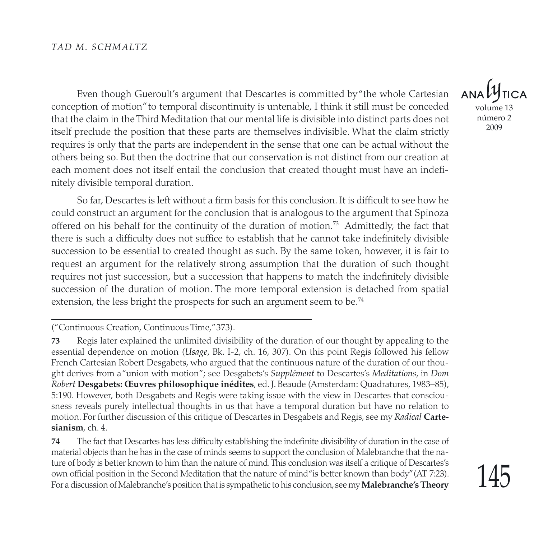Even though Gueroult's argument that Descartes is committed by "the whole Cartesian conception of motion" to temporal discontinuity is untenable, I think it still must be conceded that the claim in the Third Meditation that our mental life is divisible into distinct parts does not itself preclude the position that these parts are themselves indivisible. What the claim strictly requires is only that the parts are independent in the sense that one can be actual without the others being so. But then the doctrine that our conservation is not distinct from our creation at each moment does not itself entail the conclusion that created thought must have an indefinitely divisible temporal duration.

So far, Descartes is left without a firm basis for this conclusion. It is difficult to see how he could construct an argument for the conclusion that is analogous to the argument that Spinoza offered on his behalf for the continuity of the duration of motion.<sup>73</sup> Admittedly, the fact that there is such a difficulty does not suffice to establish that he cannot take indefinitely divisible succession to be essential to created thought as such. By the same token, however, it is fair to request an argument for the relatively strong assumption that the duration of such thought requires not just succession, but a succession that happens to match the indefinitely divisible succession of the duration of motion. The more temporal extension is detached from spatial extension, the less bright the prospects for such an argument seem to be.<sup>74</sup>

("Continuous Creation, Continuous Time," 373).

**74** The fact that Descartes has less difficulty establishing the indefinite divisibility of duration in the case of material objects than he has in the case of minds seems to support the conclusion of Malebranche that the nature of body is better known to him than the nature of mind. This conclusion was itself a critique of Descartes's own official position in the Second Meditation that the nature of mind "is better known than body" (AT 7:23). For a discussion of Malebranche's position that is sympathetic to his conclusion, see my **Malebranche's Theory** 

volume 13 número 2 2009

**<sup>73</sup>** Regis later explained the unlimited divisibility of the duration of our thought by appealing to the essential dependence on motion (*Usage*, Bk. I-2, ch. 16, 307). On this point Regis followed his fellow French Cartesian Robert Desgabets, who argued that the continuous nature of the duration of our thought derives from a "union with motion"; see Desgabets's *Supplément* to Descartes's *Meditations*, in *Dom Robert* **Desgabets: Œuvres philosophique inédites**, ed. J. Beaude (Amsterdam: Quadratures, 1983–85), 5:190. However, both Desgabets and Regis were taking issue with the view in Descartes that consciousness reveals purely intellectual thoughts in us that have a temporal duration but have no relation to motion. For further discussion of this critique of Descartes in Desgabets and Regis, see my *Radical* **Cartesianism**, ch. 4.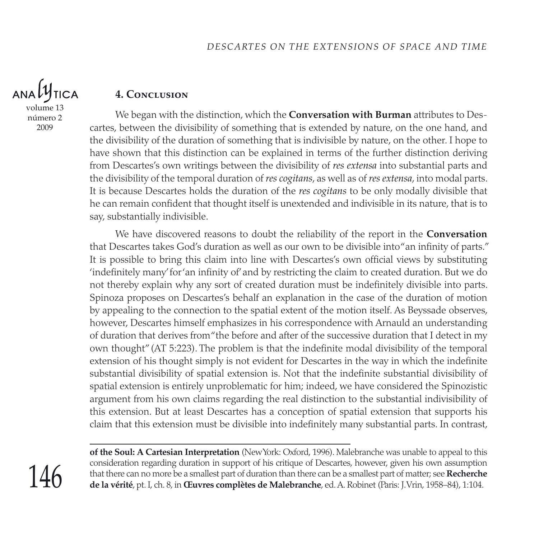

número 2 2009

#### **4. Conclusion**

We began with the distinction, which the **Conversation with Burman** attributes to Descartes, between the divisibility of something that is extended by nature, on the one hand, and the divisibility of the duration of something that is indivisible by nature, on the other. I hope to have shown that this distinction can be explained in terms of the further distinction deriving from Descartes's own writings between the divisibility of *res extensa* into substantial parts and the divisibility of the temporal duration of *res cogitans*, as well as of *res extensa*, into modal parts. It is because Descartes holds the duration of the *res cogitans* to be only modally divisible that he can remain confident that thought itself is unextended and indivisible in its nature, that is to say, substantially indivisible.

We have discovered reasons to doubt the reliability of the report in the **Conversation** that Descartes takes God's duration as well as our own to be divisible into "an infinity of parts." It is possible to bring this claim into line with Descartes's own official views by substituting 'indefinitely many' for 'an infinity of' and by restricting the claim to created duration. But we do not thereby explain why any sort of created duration must be indefinitely divisible into parts. Spinoza proposes on Descartes's behalf an explanation in the case of the duration of motion by appealing to the connection to the spatial extent of the motion itself. As Beyssade observes, however, Descartes himself emphasizes in his correspondence with Arnauld an understanding of duration that derives from "the before and after of the successive duration that I detect in my own thought" (AT 5:223). The problem is that the indefinite modal divisibility of the temporal extension of his thought simply is not evident for Descartes in the way in which the indefinite substantial divisibility of spatial extension is. Not that the indefinite substantial divisibility of spatial extension is entirely unproblematic for him; indeed, we have considered the Spinozistic argument from his own claims regarding the real distinction to the substantial indivisibility of this extension. But at least Descartes has a conception of spatial extension that supports his claim that this extension must be divisible into indefinitely many substantial parts. In contrast,

**of the Soul: A Cartesian Interpretation** (New York: Oxford, 1996). Malebranche was unable to appeal to this consideration regarding duration in support of his critique of Descartes, however, given his own assumption that there can no more be a smallest part of duration than there can be a smallest part of matter; see **Recherche de la vérité**, pt. I, ch. 8, in **Œuvres complètes de Malebranche**, ed. A. Robinet (Paris: J. Vrin, 1958–84), 1:104.